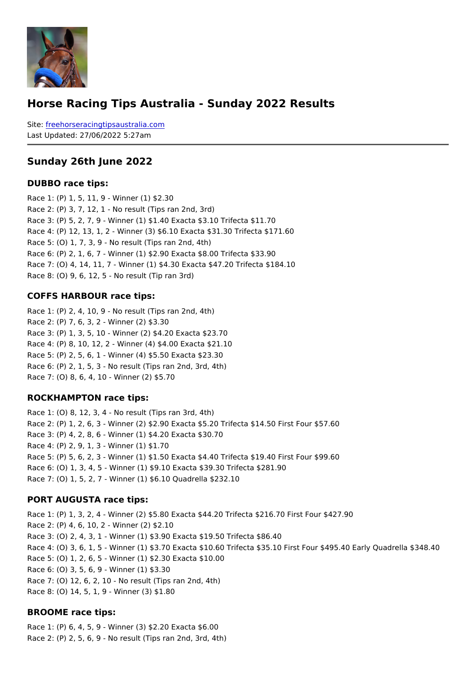#### Horse Racing Tips Australia - Sunday 2022 Results

Sitefreehorseracingtipsaustralia.com Last Updated: 27/06/2022 5:27am

#### Sunday 26th June 2022

#### DUBBO race tips:

Race 1: (P) 1, 5, 11, 9 - Winner (1) \$2.30 Race 2: (P) 3, 7, 12, 1 - No result (Tips ran 2nd, 3rd) Race 3: (P) 5, 2, 7, 9 - Winner (1) \$1.40 Exacta \$3.10 Trifecta \$11.70 Race 4: (P) 12, 13, 1, 2 - Winner (3) \$6.10 Exacta \$31.30 Trifecta \$171.60 Race 5: (O) 1, 7, 3, 9 - No result (Tips ran 2nd, 4th) Race 6: (P) 2, 1, 6, 7 - Winner (1) \$2.90 Exacta \$8.00 Trifecta \$33.90 Race 7: (O) 4, 14, 11, 7 - Winner (1) \$4.30 Exacta \$47.20 Trifecta \$184.10 Race 8: (O) 9, 6, 12, 5 - No result (Tip ran 3rd)

#### COFFS HARBOUR race tips:

Race 1: (P) 2, 4, 10, 9 - No result (Tips ran 2nd, 4th) Race 2: (P) 7, 6, 3, 2 - Winner (2) \$3.30 Race 3: (P) 1, 3, 5, 10 - Winner (2) \$4.20 Exacta \$23.70 Race 4: (P) 8, 10, 12, 2 - Winner (4) \$4.00 Exacta \$21.10 Race 5: (P) 2, 5, 6, 1 - Winner (4) \$5.50 Exacta \$23.30 Race 6: (P) 2, 1, 5, 3 - No result (Tips ran 2nd, 3rd, 4th) Race 7: (O) 8, 6, 4, 10 - Winner (2) \$5.70

#### ROCKHAMPTON race tips:

Race 1: (O) 8, 12, 3, 4 - No result (Tips ran 3rd, 4th) Race 2: (P) 1, 2, 6, 3 - Winner (2) \$2.90 Exacta \$5.20 Trifecta \$14.50 First Four \$57.60 Race 3: (P) 4, 2, 8, 6 - Winner (1) \$4.20 Exacta \$30.70 Race 4: (P) 2, 9, 1, 3 - Winner (1) \$1.70 Race 5: (P) 5, 6, 2, 3 - Winner (1) \$1.50 Exacta \$4.40 Trifecta \$19.40 First Four \$99.60 Race 6: (O) 1, 3, 4, 5 - Winner (1) \$9.10 Exacta \$39.30 Trifecta \$281.90 Race 7: (O) 1, 5, 2, 7 - Winner (1) \$6.10 Quadrella \$232.10

#### PORT AUGUSTA race tips:

Race 1: (P) 1, 3, 2, 4 - Winner (2) \$5.80 Exacta \$44.20 Trifecta \$216.70 First Four \$42 Race 2: (P) 4, 6, 10, 2 - Winner (2) \$2.10 Race 3: (O) 2, 4, 3, 1 - Winner (1) \$3.90 Exacta \$19.50 Trifecta \$86.40 Race 4: (O) 3, 6, 1, 5 - Winner (1) \$3.70 Exacta \$10.60 Trifecta \$35.10 First Four \$495 Race 5: (O) 1, 2, 6, 5 - Winner (1) \$2.30 Exacta \$10.00 Race 6: (O) 3, 5, 6, 9 - Winner (1) \$3.30 Race 7: (O) 12, 6, 2, 10 - No result (Tips ran 2nd, 4th) Race 8: (O) 14, 5, 1, 9 - Winner (3) \$1.80

BROOME race tips:

Race 1: (P) 6, 4, 5, 9 - Winner (3) \$2.20 Exacta \$6.00 Race 2: (P) 2, 5, 6, 9 - No result (Tips ran 2nd, 3rd, 4th)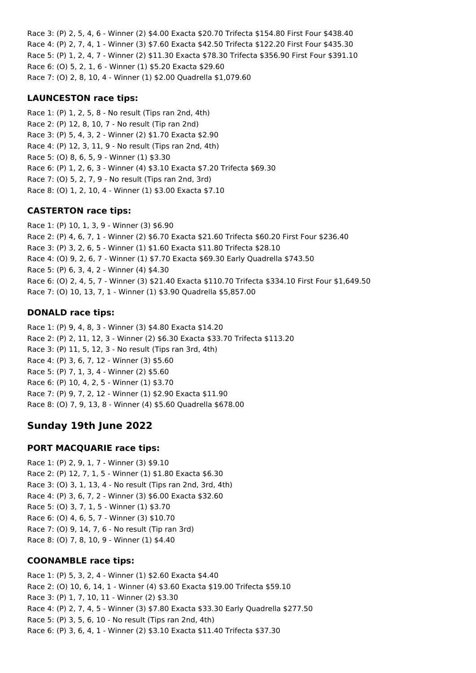Race 3: (P) 2, 5, 4, 6 - Winner (2) \$4.00 Exacta \$20.70 Trifecta \$154.80 First Four \$438.40 Race 4: (P) 2, 7, 4, 1 - Winner (3) \$7.60 Exacta \$42.50 Trifecta \$122.20 First Four \$435.30 Race 5: (P) 1, 2, 4, 7 - Winner (2) \$11.30 Exacta \$78.30 Trifecta \$356.90 First Four \$391.10 Race 6: (O) 5, 2, 1, 6 - Winner (1) \$5.20 Exacta \$29.60 Race 7: (O) 2, 8, 10, 4 - Winner (1) \$2.00 Quadrella \$1,079.60

### **LAUNCESTON race tips:**

Race 1: (P) 1, 2, 5, 8 - No result (Tips ran 2nd, 4th) Race 2: (P) 12, 8, 10, 7 - No result (Tip ran 2nd) Race 3: (P) 5, 4, 3, 2 - Winner (2) \$1.70 Exacta \$2.90 Race 4: (P) 12, 3, 11, 9 - No result (Tips ran 2nd, 4th) Race 5: (O) 8, 6, 5, 9 - Winner (1) \$3.30 Race 6: (P) 1, 2, 6, 3 - Winner (4) \$3.10 Exacta \$7.20 Trifecta \$69.30 Race 7: (O) 5, 2, 7, 9 - No result (Tips ran 2nd, 3rd) Race 8: (O) 1, 2, 10, 4 - Winner (1) \$3.00 Exacta \$7.10

### **CASTERTON race tips:**

Race 1: (P) 10, 1, 3, 9 - Winner (3) \$6.90 Race 2: (P) 4, 6, 7, 1 - Winner (2) \$6.70 Exacta \$21.60 Trifecta \$60.20 First Four \$236.40 Race 3: (P) 3, 2, 6, 5 - Winner (1) \$1.60 Exacta \$11.80 Trifecta \$28.10 Race 4: (O) 9, 2, 6, 7 - Winner (1) \$7.70 Exacta \$69.30 Early Quadrella \$743.50 Race 5: (P) 6, 3, 4, 2 - Winner (4) \$4.30 Race 6: (O) 2, 4, 5, 7 - Winner (3) \$21.40 Exacta \$110.70 Trifecta \$334.10 First Four \$1,649.50 Race 7: (O) 10, 13, 7, 1 - Winner (1) \$3.90 Quadrella \$5,857.00

### **DONALD race tips:**

Race 1: (P) 9, 4, 8, 3 - Winner (3) \$4.80 Exacta \$14.20 Race 2: (P) 2, 11, 12, 3 - Winner (2) \$6.30 Exacta \$33.70 Trifecta \$113.20 Race 3: (P) 11, 5, 12, 3 - No result (Tips ran 3rd, 4th) Race 4: (P) 3, 6, 7, 12 - Winner (3) \$5.60 Race 5: (P) 7, 1, 3, 4 - Winner (2) \$5.60 Race 6: (P) 10, 4, 2, 5 - Winner (1) \$3.70 Race 7: (P) 9, 7, 2, 12 - Winner (1) \$2.90 Exacta \$11.90 Race 8: (O) 7, 9, 13, 8 - Winner (4) \$5.60 Quadrella \$678.00

# **Sunday 19th June 2022**

#### **PORT MACQUARIE race tips:**

Race 1: (P) 2, 9, 1, 7 - Winner (3) \$9.10 Race 2: (P) 12, 7, 1, 5 - Winner (1) \$1.80 Exacta \$6.30 Race 3: (O) 3, 1, 13, 4 - No result (Tips ran 2nd, 3rd, 4th) Race 4: (P) 3, 6, 7, 2 - Winner (3) \$6.00 Exacta \$32.60 Race 5: (O) 3, 7, 1, 5 - Winner (1) \$3.70 Race 6: (O) 4, 6, 5, 7 - Winner (3) \$10.70 Race 7: (O) 9, 14, 7, 6 - No result (Tip ran 3rd) Race 8: (O) 7, 8, 10, 9 - Winner (1) \$4.40

#### **COONAMBLE race tips:**

Race 1: (P) 5, 3, 2, 4 - Winner (1) \$2.60 Exacta \$4.40 Race 2: (O) 10, 6, 14, 1 - Winner (4) \$3.60 Exacta \$19.00 Trifecta \$59.10 Race 3: (P) 1, 7, 10, 11 - Winner (2) \$3.30 Race 4: (P) 2, 7, 4, 5 - Winner (3) \$7.80 Exacta \$33.30 Early Quadrella \$277.50 Race 5: (P) 3, 5, 6, 10 - No result (Tips ran 2nd, 4th) Race 6: (P) 3, 6, 4, 1 - Winner (2) \$3.10 Exacta \$11.40 Trifecta \$37.30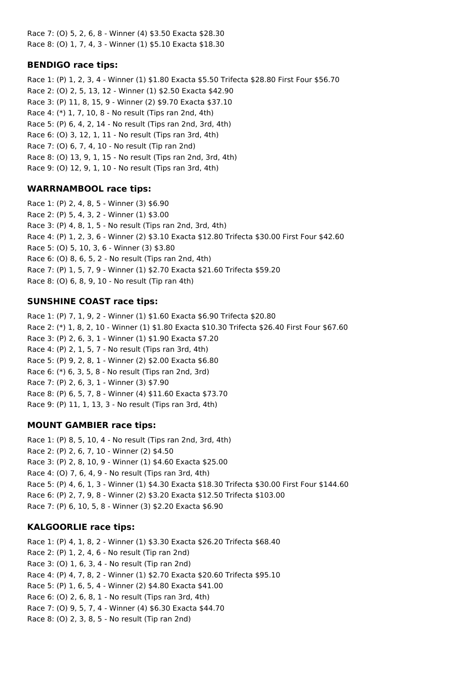Race 7: (O) 5, 2, 6, 8 - Winner (4) \$3.50 Exacta \$28.30 Race 8: (O) 1, 7, 4, 3 - Winner (1) \$5.10 Exacta \$18.30

### **BENDIGO race tips:**

Race 1: (P) 1, 2, 3, 4 - Winner (1) \$1.80 Exacta \$5.50 Trifecta \$28.80 First Four \$56.70 Race 2: (O) 2, 5, 13, 12 - Winner (1) \$2.50 Exacta \$42.90 Race 3: (P) 11, 8, 15, 9 - Winner (2) \$9.70 Exacta \$37.10 Race 4: (\*) 1, 7, 10, 8 - No result (Tips ran 2nd, 4th) Race 5: (P) 6, 4, 2, 14 - No result (Tips ran 2nd, 3rd, 4th) Race 6: (O) 3, 12, 1, 11 - No result (Tips ran 3rd, 4th) Race 7: (O) 6, 7, 4, 10 - No result (Tip ran 2nd) Race 8: (O) 13, 9, 1, 15 - No result (Tips ran 2nd, 3rd, 4th) Race 9: (O) 12, 9, 1, 10 - No result (Tips ran 3rd, 4th)

## **WARRNAMBOOL race tips:**

Race 1: (P) 2, 4, 8, 5 - Winner (3) \$6.90 Race 2: (P) 5, 4, 3, 2 - Winner (1) \$3.00 Race 3: (P) 4, 8, 1, 5 - No result (Tips ran 2nd, 3rd, 4th) Race 4: (P) 1, 2, 3, 6 - Winner (2) \$3.10 Exacta \$12.80 Trifecta \$30.00 First Four \$42.60 Race 5: (O) 5, 10, 3, 6 - Winner (3) \$3.80 Race 6: (O) 8, 6, 5, 2 - No result (Tips ran 2nd, 4th) Race 7: (P) 1, 5, 7, 9 - Winner (1) \$2.70 Exacta \$21.60 Trifecta \$59.20 Race 8: (O) 6, 8, 9, 10 - No result (Tip ran 4th)

## **SUNSHINE COAST race tips:**

Race 1: (P) 7, 1, 9, 2 - Winner (1) \$1.60 Exacta \$6.90 Trifecta \$20.80 Race 2: (\*) 1, 8, 2, 10 - Winner (1) \$1.80 Exacta \$10.30 Trifecta \$26.40 First Four \$67.60 Race 3: (P) 2, 6, 3, 1 - Winner (1) \$1.90 Exacta \$7.20 Race 4: (P) 2, 1, 5, 7 - No result (Tips ran 3rd, 4th) Race 5: (P) 9, 2, 8, 1 - Winner (2) \$2.00 Exacta \$6.80 Race 6: (\*) 6, 3, 5, 8 - No result (Tips ran 2nd, 3rd) Race 7: (P) 2, 6, 3, 1 - Winner (3) \$7.90 Race 8: (P) 6, 5, 7, 8 - Winner (4) \$11.60 Exacta \$73.70 Race 9: (P) 11, 1, 13, 3 - No result (Tips ran 3rd, 4th)

## **MOUNT GAMBIER race tips:**

Race 1: (P) 8, 5, 10, 4 - No result (Tips ran 2nd, 3rd, 4th) Race 2: (P) 2, 6, 7, 10 - Winner (2) \$4.50 Race 3: (P) 2, 8, 10, 9 - Winner (1) \$4.60 Exacta \$25.00 Race 4: (O) 7, 6, 4, 9 - No result (Tips ran 3rd, 4th) Race 5: (P) 4, 6, 1, 3 - Winner (1) \$4.30 Exacta \$18.30 Trifecta \$30.00 First Four \$144.60 Race 6: (P) 2, 7, 9, 8 - Winner (2) \$3.20 Exacta \$12.50 Trifecta \$103.00 Race 7: (P) 6, 10, 5, 8 - Winner (3) \$2.20 Exacta \$6.90

#### **KALGOORLIE race tips:**

Race 1: (P) 4, 1, 8, 2 - Winner (1) \$3.30 Exacta \$26.20 Trifecta \$68.40 Race 2: (P) 1, 2, 4, 6 - No result (Tip ran 2nd) Race 3: (O) 1, 6, 3, 4 - No result (Tip ran 2nd) Race 4: (P) 4, 7, 8, 2 - Winner (1) \$2.70 Exacta \$20.60 Trifecta \$95.10 Race 5: (P) 1, 6, 5, 4 - Winner (2) \$4.80 Exacta \$41.00 Race 6: (O) 2, 6, 8, 1 - No result (Tips ran 3rd, 4th) Race 7: (O) 9, 5, 7, 4 - Winner (4) \$6.30 Exacta \$44.70 Race 8: (O) 2, 3, 8, 5 - No result (Tip ran 2nd)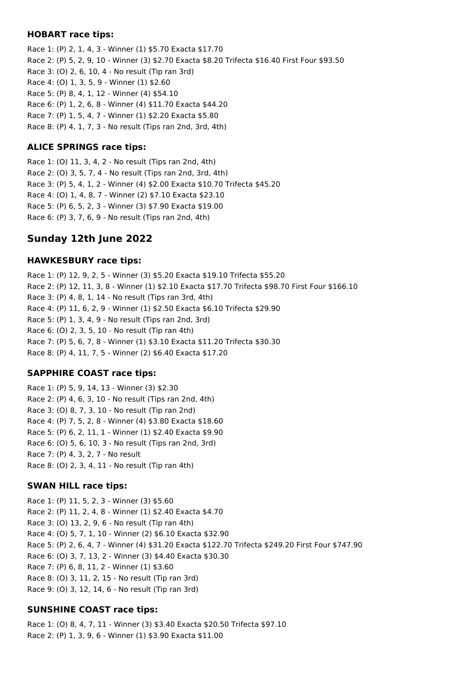### **HOBART race tips:**

Race 1: (P) 2, 1, 4, 3 - Winner (1) \$5.70 Exacta \$17.70 Race 2: (P) 5, 2, 9, 10 - Winner (3) \$2.70 Exacta \$8.20 Trifecta \$16.40 First Four \$93.50 Race 3: (O) 2, 6, 10, 4 - No result (Tip ran 3rd) Race 4: (O) 1, 3, 5, 9 - Winner (1) \$2.60 Race 5: (P) 8, 4, 1, 12 - Winner (4) \$54.10 Race 6: (P) 1, 2, 6, 8 - Winner (4) \$11.70 Exacta \$44.20 Race 7: (P) 1, 5, 4, 7 - Winner (1) \$2.20 Exacta \$5.80 Race 8: (P) 4, 1, 7, 3 - No result (Tips ran 2nd, 3rd, 4th)

## **ALICE SPRINGS race tips:**

Race 1: (O) 11, 3, 4, 2 - No result (Tips ran 2nd, 4th) Race 2: (O) 3, 5, 7, 4 - No result (Tips ran 2nd, 3rd, 4th) Race 3: (P) 5, 4, 1, 2 - Winner (4) \$2.00 Exacta \$10.70 Trifecta \$45.20 Race 4: (O) 1, 4, 8, 7 - Winner (2) \$7.10 Exacta \$23.10 Race 5: (P) 6, 5, 2, 3 - Winner (3) \$7.90 Exacta \$19.00 Race 6: (P) 3, 7, 6, 9 - No result (Tips ran 2nd, 4th)

# **Sunday 12th June 2022**

## **HAWKESBURY race tips:**

Race 1: (P) 12, 9, 2, 5 - Winner (3) \$5.20 Exacta \$19.10 Trifecta \$55.20 Race 2: (P) 12, 11, 3, 8 - Winner (1) \$2.10 Exacta \$17.70 Trifecta \$98.70 First Four \$166.10 Race 3: (P) 4, 8, 1, 14 - No result (Tips ran 3rd, 4th) Race 4: (P) 11, 6, 2, 9 - Winner (1) \$2.50 Exacta \$6.10 Trifecta \$29.90 Race 5: (P) 1, 3, 4, 9 - No result (Tips ran 2nd, 3rd) Race 6: (O) 2, 3, 5, 10 - No result (Tip ran 4th) Race 7: (P) 5, 6, 7, 8 - Winner (1) \$3.10 Exacta \$11.20 Trifecta \$30.30 Race 8: (P) 4, 11, 7, 5 - Winner (2) \$6.40 Exacta \$17.20

## **SAPPHIRE COAST race tips:**

Race 1: (P) 5, 9, 14, 13 - Winner (3) \$2.30 Race 2: (P) 4, 6, 3, 10 - No result (Tips ran 2nd, 4th) Race 3: (O) 8, 7, 3, 10 - No result (Tip ran 2nd) Race 4: (P) 7, 5, 2, 8 - Winner (4) \$3.80 Exacta \$18.60 Race 5: (P) 6, 2, 11, 1 - Winner (1) \$2.40 Exacta \$9.90 Race 6: (O) 5, 6, 10, 3 - No result (Tips ran 2nd, 3rd) Race 7: (P) 4, 3, 2, 7 - No result Race 8: (O) 2, 3, 4, 11 - No result (Tip ran 4th)

## **SWAN HILL race tips:**

Race 1: (P) 11, 5, 2, 3 - Winner (3) \$5.60 Race 2: (P) 11, 2, 4, 8 - Winner (1) \$2.40 Exacta \$4.70 Race 3: (O) 13, 2, 9, 6 - No result (Tip ran 4th) Race 4: (O) 5, 7, 1, 10 - Winner (2) \$6.10 Exacta \$32.90 Race 5: (P) 2, 6, 4, 7 - Winner (4) \$31.20 Exacta \$122.70 Trifecta \$249.20 First Four \$747.90 Race 6: (O) 3, 7, 13, 2 - Winner (3) \$4.40 Exacta \$30.30 Race 7: (P) 6, 8, 11, 2 - Winner (1) \$3.60 Race 8: (O) 3, 11, 2, 15 - No result (Tip ran 3rd) Race 9: (O) 3, 12, 14, 6 - No result (Tip ran 3rd)

## **SUNSHINE COAST race tips:**

Race 1: (O) 8, 4, 7, 11 - Winner (3) \$3.40 Exacta \$20.50 Trifecta \$97.10 Race 2: (P) 1, 3, 9, 6 - Winner (1) \$3.90 Exacta \$11.00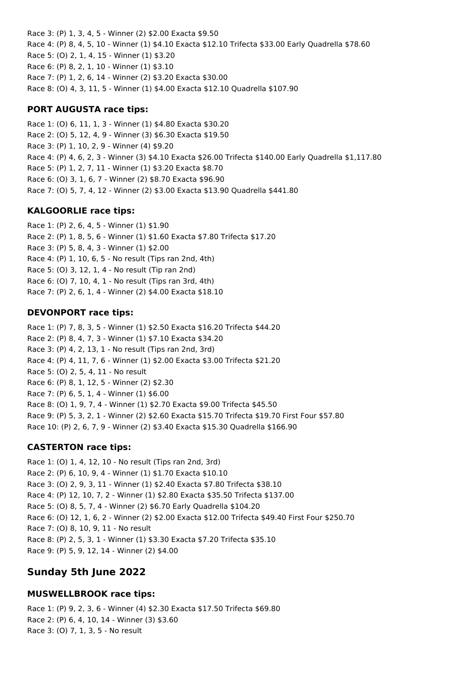Race 3: (P) 1, 3, 4, 5 - Winner (2) \$2.00 Exacta \$9.50 Race 4: (P) 8, 4, 5, 10 - Winner (1) \$4.10 Exacta \$12.10 Trifecta \$33.00 Early Quadrella \$78.60 Race 5: (O) 2, 1, 4, 15 - Winner (1) \$3.20 Race 6: (P) 8, 2, 1, 10 - Winner (1) \$3.10 Race 7: (P) 1, 2, 6, 14 - Winner (2) \$3.20 Exacta \$30.00 Race 8: (O) 4, 3, 11, 5 - Winner (1) \$4.00 Exacta \$12.10 Quadrella \$107.90

## **PORT AUGUSTA race tips:**

Race 1: (O) 6, 11, 1, 3 - Winner (1) \$4.80 Exacta \$30.20 Race 2: (O) 5, 12, 4, 9 - Winner (3) \$6.30 Exacta \$19.50 Race 3: (P) 1, 10, 2, 9 - Winner (4) \$9.20 Race 4: (P) 4, 6, 2, 3 - Winner (3) \$4.10 Exacta \$26.00 Trifecta \$140.00 Early Quadrella \$1,117.80 Race 5: (P) 1, 2, 7, 11 - Winner (1) \$3.20 Exacta \$8.70 Race 6: (O) 3, 1, 6, 7 - Winner (2) \$8.70 Exacta \$96.90 Race 7: (O) 5, 7, 4, 12 - Winner (2) \$3.00 Exacta \$13.90 Quadrella \$441.80

## **KALGOORLIE race tips:**

Race 1: (P) 2, 6, 4, 5 - Winner (1) \$1.90 Race 2: (P) 1, 8, 5, 6 - Winner (1) \$1.60 Exacta \$7.80 Trifecta \$17.20 Race 3: (P) 5, 8, 4, 3 - Winner (1) \$2.00 Race 4: (P) 1, 10, 6, 5 - No result (Tips ran 2nd, 4th) Race 5: (O) 3, 12, 1, 4 - No result (Tip ran 2nd) Race 6: (O) 7, 10, 4, 1 - No result (Tips ran 3rd, 4th) Race 7: (P) 2, 6, 1, 4 - Winner (2) \$4.00 Exacta \$18.10

## **DEVONPORT race tips:**

Race 1: (P) 7, 8, 3, 5 - Winner (1) \$2.50 Exacta \$16.20 Trifecta \$44.20 Race 2: (P) 8, 4, 7, 3 - Winner (1) \$7.10 Exacta \$34.20 Race 3: (P) 4, 2, 13, 1 - No result (Tips ran 2nd, 3rd) Race 4: (P) 4, 11, 7, 6 - Winner (1) \$2.00 Exacta \$3.00 Trifecta \$21.20 Race 5: (O) 2, 5, 4, 11 - No result Race 6: (P) 8, 1, 12, 5 - Winner (2) \$2.30 Race 7: (P) 6, 5, 1, 4 - Winner (1) \$6.00 Race 8: (O) 1, 9, 7, 4 - Winner (1) \$2.70 Exacta \$9.00 Trifecta \$45.50 Race 9: (P) 5, 3, 2, 1 - Winner (2) \$2.60 Exacta \$15.70 Trifecta \$19.70 First Four \$57.80 Race 10: (P) 2, 6, 7, 9 - Winner (2) \$3.40 Exacta \$15.30 Quadrella \$166.90

## **CASTERTON race tips:**

Race 1: (O) 1, 4, 12, 10 - No result (Tips ran 2nd, 3rd) Race 2: (P) 6, 10, 9, 4 - Winner (1) \$1.70 Exacta \$10.10 Race 3: (O) 2, 9, 3, 11 - Winner (1) \$2.40 Exacta \$7.80 Trifecta \$38.10 Race 4: (P) 12, 10, 7, 2 - Winner (1) \$2.80 Exacta \$35.50 Trifecta \$137.00 Race 5: (O) 8, 5, 7, 4 - Winner (2) \$6.70 Early Quadrella \$104.20 Race 6: (O) 12, 1, 6, 2 - Winner (2) \$2.00 Exacta \$12.00 Trifecta \$49.40 First Four \$250.70 Race 7: (O) 8, 10, 9, 11 - No result Race 8: (P) 2, 5, 3, 1 - Winner (1) \$3.30 Exacta \$7.20 Trifecta \$35.10 Race 9: (P) 5, 9, 12, 14 - Winner (2) \$4.00

# **Sunday 5th June 2022**

## **MUSWELLBROOK race tips:**

Race 1: (P) 9, 2, 3, 6 - Winner (4) \$2.30 Exacta \$17.50 Trifecta \$69.80 Race 2: (P) 6, 4, 10, 14 - Winner (3) \$3.60 Race 3: (O) 7, 1, 3, 5 - No result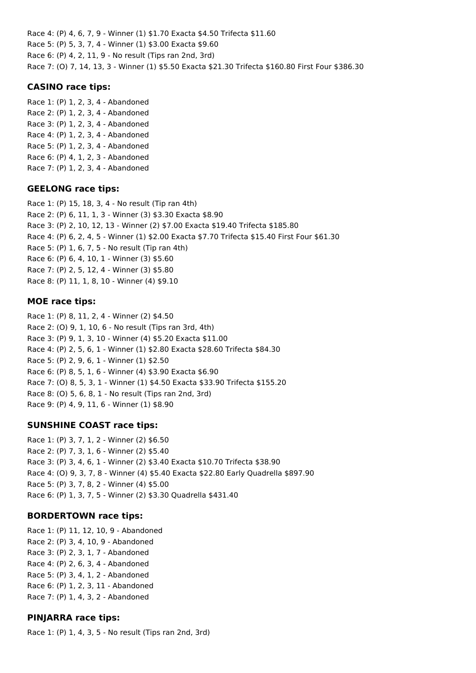Race 4: (P) 4, 6, 7, 9 - Winner (1) \$1.70 Exacta \$4.50 Trifecta \$11.60 Race 5: (P) 5, 3, 7, 4 - Winner (1) \$3.00 Exacta \$9.60 Race 6: (P) 4, 2, 11, 9 - No result (Tips ran 2nd, 3rd) Race 7: (O) 7, 14, 13, 3 - Winner (1) \$5.50 Exacta \$21.30 Trifecta \$160.80 First Four \$386.30

## **CASINO race tips:**

Race 1: (P) 1, 2, 3, 4 - Abandoned Race 2: (P) 1, 2, 3, 4 - Abandoned Race 3: (P) 1, 2, 3, 4 - Abandoned Race 4: (P) 1, 2, 3, 4 - Abandoned Race 5: (P) 1, 2, 3, 4 - Abandoned Race 6: (P) 4, 1, 2, 3 - Abandoned Race 7: (P) 1, 2, 3, 4 - Abandoned

## **GEELONG race tips:**

Race 1: (P) 15, 18, 3, 4 - No result (Tip ran 4th) Race 2: (P) 6, 11, 1, 3 - Winner (3) \$3.30 Exacta \$8.90 Race 3: (P) 2, 10, 12, 13 - Winner (2) \$7.00 Exacta \$19.40 Trifecta \$185.80 Race 4: (P) 6, 2, 4, 5 - Winner (1) \$2.00 Exacta \$7.70 Trifecta \$15.40 First Four \$61.30 Race 5: (P) 1, 6, 7, 5 - No result (Tip ran 4th) Race 6: (P) 6, 4, 10, 1 - Winner (3) \$5.60 Race 7: (P) 2, 5, 12, 4 - Winner (3) \$5.80 Race 8: (P) 11, 1, 8, 10 - Winner (4) \$9.10

## **MOE race tips:**

Race 1: (P) 8, 11, 2, 4 - Winner (2) \$4.50 Race 2: (O) 9, 1, 10, 6 - No result (Tips ran 3rd, 4th) Race 3: (P) 9, 1, 3, 10 - Winner (4) \$5.20 Exacta \$11.00 Race 4: (P) 2, 5, 6, 1 - Winner (1) \$2.80 Exacta \$28.60 Trifecta \$84.30 Race 5: (P) 2, 9, 6, 1 - Winner (1) \$2.50 Race 6: (P) 8, 5, 1, 6 - Winner (4) \$3.90 Exacta \$6.90 Race 7: (O) 8, 5, 3, 1 - Winner (1) \$4.50 Exacta \$33.90 Trifecta \$155.20 Race 8: (O) 5, 6, 8, 1 - No result (Tips ran 2nd, 3rd) Race 9: (P) 4, 9, 11, 6 - Winner (1) \$8.90

## **SUNSHINE COAST race tips:**

Race 1: (P) 3, 7, 1, 2 - Winner (2) \$6.50 Race 2: (P) 7, 3, 1, 6 - Winner (2) \$5.40 Race 3: (P) 3, 4, 6, 1 - Winner (2) \$3.40 Exacta \$10.70 Trifecta \$38.90 Race 4: (O) 9, 3, 7, 8 - Winner (4) \$5.40 Exacta \$22.80 Early Quadrella \$897.90 Race 5: (P) 3, 7, 8, 2 - Winner (4) \$5.00 Race 6: (P) 1, 3, 7, 5 - Winner (2) \$3.30 Quadrella \$431.40

## **BORDERTOWN race tips:**

Race 1: (P) 11, 12, 10, 9 - Abandoned Race 2: (P) 3, 4, 10, 9 - Abandoned Race 3: (P) 2, 3, 1, 7 - Abandoned Race 4: (P) 2, 6, 3, 4 - Abandoned Race 5: (P) 3, 4, 1, 2 - Abandoned Race 6: (P) 1, 2, 3, 11 - Abandoned Race 7: (P) 1, 4, 3, 2 - Abandoned

## **PINJARRA race tips:**

Race 1: (P) 1, 4, 3, 5 - No result (Tips ran 2nd, 3rd)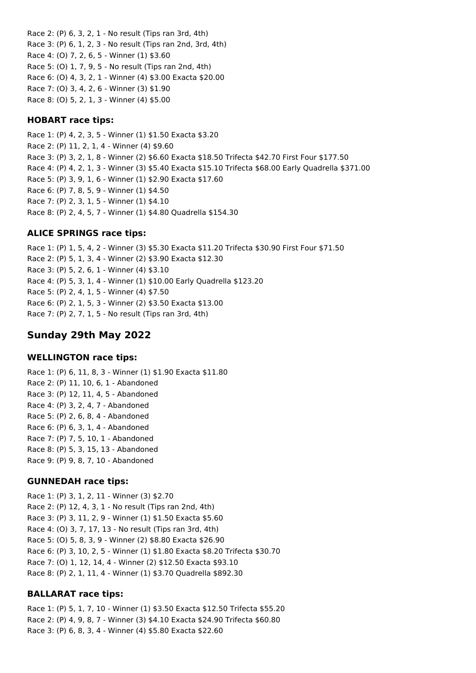Race 2: (P) 6, 3, 2, 1 - No result (Tips ran 3rd, 4th) Race 3: (P) 6, 1, 2, 3 - No result (Tips ran 2nd, 3rd, 4th) Race 4: (O) 7, 2, 6, 5 - Winner (1) \$3.60 Race 5: (O) 1, 7, 9, 5 - No result (Tips ran 2nd, 4th) Race 6: (O) 4, 3, 2, 1 - Winner (4) \$3.00 Exacta \$20.00 Race 7: (O) 3, 4, 2, 6 - Winner (3) \$1.90 Race 8: (O) 5, 2, 1, 3 - Winner (4) \$5.00

#### **HOBART race tips:**

Race 1: (P) 4, 2, 3, 5 - Winner (1) \$1.50 Exacta \$3.20 Race 2: (P) 11, 2, 1, 4 - Winner (4) \$9.60 Race 3: (P) 3, 2, 1, 8 - Winner (2) \$6.60 Exacta \$18.50 Trifecta \$42.70 First Four \$177.50 Race 4: (P) 4, 2, 1, 3 - Winner (3) \$5.40 Exacta \$15.10 Trifecta \$68.00 Early Quadrella \$371.00 Race 5: (P) 3, 9, 1, 6 - Winner (1) \$2.90 Exacta \$17.60 Race 6: (P) 7, 8, 5, 9 - Winner (1) \$4.50 Race 7: (P) 2, 3, 1, 5 - Winner (1) \$4.10 Race 8: (P) 2, 4, 5, 7 - Winner (1) \$4.80 Quadrella \$154.30

#### **ALICE SPRINGS race tips:**

Race 1: (P) 1, 5, 4, 2 - Winner (3) \$5.30 Exacta \$11.20 Trifecta \$30.90 First Four \$71.50 Race 2: (P) 5, 1, 3, 4 - Winner (2) \$3.90 Exacta \$12.30 Race 3: (P) 5, 2, 6, 1 - Winner (4) \$3.10 Race 4: (P) 5, 3, 1, 4 - Winner (1) \$10.00 Early Quadrella \$123.20 Race 5: (P) 2, 4, 1, 5 - Winner (4) \$7.50 Race 6: (P) 2, 1, 5, 3 - Winner (2) \$3.50 Exacta \$13.00 Race 7: (P) 2, 7, 1, 5 - No result (Tips ran 3rd, 4th)

### **Sunday 29th May 2022**

#### **WELLINGTON race tips:**

Race 1: (P) 6, 11, 8, 3 - Winner (1) \$1.90 Exacta \$11.80 Race 2: (P) 11, 10, 6, 1 - Abandoned Race 3: (P) 12, 11, 4, 5 - Abandoned Race 4: (P) 3, 2, 4, 7 - Abandoned Race 5: (P) 2, 6, 8, 4 - Abandoned Race 6: (P) 6, 3, 1, 4 - Abandoned Race 7: (P) 7, 5, 10, 1 - Abandoned Race 8: (P) 5, 3, 15, 13 - Abandoned Race 9: (P) 9, 8, 7, 10 - Abandoned

#### **GUNNEDAH race tips:**

Race 1: (P) 3, 1, 2, 11 - Winner (3) \$2.70 Race 2: (P) 12, 4, 3, 1 - No result (Tips ran 2nd, 4th) Race 3: (P) 3, 11, 2, 9 - Winner (1) \$1.50 Exacta \$5.60 Race 4: (O) 3, 7, 17, 13 - No result (Tips ran 3rd, 4th) Race 5: (O) 5, 8, 3, 9 - Winner (2) \$8.80 Exacta \$26.90 Race 6: (P) 3, 10, 2, 5 - Winner (1) \$1.80 Exacta \$8.20 Trifecta \$30.70 Race 7: (O) 1, 12, 14, 4 - Winner (2) \$12.50 Exacta \$93.10 Race 8: (P) 2, 1, 11, 4 - Winner (1) \$3.70 Quadrella \$892.30

#### **BALLARAT race tips:**

Race 1: (P) 5, 1, 7, 10 - Winner (1) \$3.50 Exacta \$12.50 Trifecta \$55.20 Race 2: (P) 4, 9, 8, 7 - Winner (3) \$4.10 Exacta \$24.90 Trifecta \$60.80 Race 3: (P) 6, 8, 3, 4 - Winner (4) \$5.80 Exacta \$22.60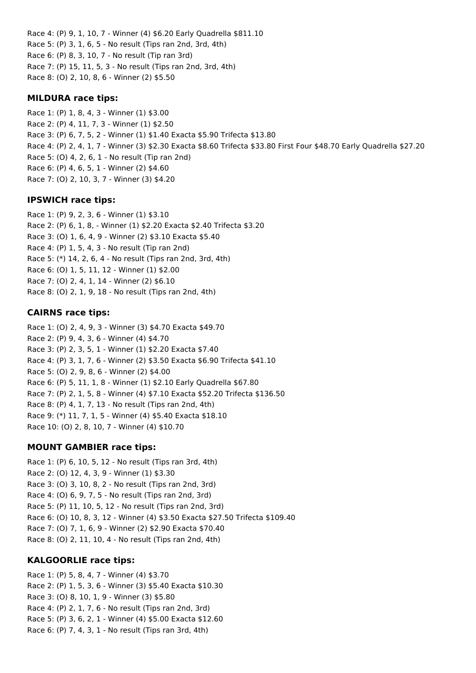Race 4: (P) 9, 1, 10, 7 - Winner (4) \$6.20 Early Quadrella \$811.10 Race 5: (P) 3, 1, 6, 5 - No result (Tips ran 2nd, 3rd, 4th) Race 6: (P) 8, 3, 10, 7 - No result (Tip ran 3rd) Race 7: (P) 15, 11, 5, 3 - No result (Tips ran 2nd, 3rd, 4th) Race 8: (O) 2, 10, 8, 6 - Winner (2) \$5.50

### **MILDURA race tips:**

Race 1: (P) 1, 8, 4, 3 - Winner (1) \$3.00 Race 2: (P) 4, 11, 7, 3 - Winner (1) \$2.50 Race 3: (P) 6, 7, 5, 2 - Winner (1) \$1.40 Exacta \$5.90 Trifecta \$13.80 Race 4: (P) 2, 4, 1, 7 - Winner (3) \$2.30 Exacta \$8.60 Trifecta \$33.80 First Four \$48.70 Early Quadrella \$27.20 Race 5: (O) 4, 2, 6, 1 - No result (Tip ran 2nd) Race 6: (P) 4, 6, 5, 1 - Winner (2) \$4.60 Race 7: (O) 2, 10, 3, 7 - Winner (3) \$4.20

## **IPSWICH race tips:**

Race 1: (P) 9, 2, 3, 6 - Winner (1) \$3.10 Race 2: (P) 6, 1, 8, - Winner (1) \$2.20 Exacta \$2.40 Trifecta \$3.20 Race 3: (O) 1, 6, 4, 9 - Winner (2) \$3.10 Exacta \$5.40 Race 4: (P) 1, 5, 4, 3 - No result (Tip ran 2nd) Race 5: (\*) 14, 2, 6, 4 - No result (Tips ran 2nd, 3rd, 4th) Race 6: (O) 1, 5, 11, 12 - Winner (1) \$2.00 Race 7: (O) 2, 4, 1, 14 - Winner (2) \$6.10 Race 8: (O) 2, 1, 9, 18 - No result (Tips ran 2nd, 4th)

## **CAIRNS race tips:**

Race 1: (O) 2, 4, 9, 3 - Winner (3) \$4.70 Exacta \$49.70 Race 2: (P) 9, 4, 3, 6 - Winner (4) \$4.70 Race 3: (P) 2, 3, 5, 1 - Winner (1) \$2.20 Exacta \$7.40 Race 4: (P) 3, 1, 7, 6 - Winner (2) \$3.50 Exacta \$6.90 Trifecta \$41.10 Race 5: (O) 2, 9, 8, 6 - Winner (2) \$4.00 Race 6: (P) 5, 11, 1, 8 - Winner (1) \$2.10 Early Quadrella \$67.80 Race 7: (P) 2, 1, 5, 8 - Winner (4) \$7.10 Exacta \$52.20 Trifecta \$136.50 Race 8: (P) 4, 1, 7, 13 - No result (Tips ran 2nd, 4th) Race 9: (\*) 11, 7, 1, 5 - Winner (4) \$5.40 Exacta \$18.10 Race 10: (O) 2, 8, 10, 7 - Winner (4) \$10.70

## **MOUNT GAMBIER race tips:**

Race 1: (P) 6, 10, 5, 12 - No result (Tips ran 3rd, 4th) Race 2: (O) 12, 4, 3, 9 - Winner (1) \$3.30 Race 3: (O) 3, 10, 8, 2 - No result (Tips ran 2nd, 3rd) Race 4: (O) 6, 9, 7, 5 - No result (Tips ran 2nd, 3rd) Race 5: (P) 11, 10, 5, 12 - No result (Tips ran 2nd, 3rd) Race 6: (O) 10, 8, 3, 12 - Winner (4) \$3.50 Exacta \$27.50 Trifecta \$109.40 Race 7: (O) 7, 1, 6, 9 - Winner (2) \$2.90 Exacta \$70.40 Race 8: (O) 2, 11, 10, 4 - No result (Tips ran 2nd, 4th)

## **KALGOORLIE race tips:**

Race 1: (P) 5, 8, 4, 7 - Winner (4) \$3.70 Race 2: (P) 1, 5, 3, 6 - Winner (3) \$5.40 Exacta \$10.30 Race 3: (O) 8, 10, 1, 9 - Winner (3) \$5.80 Race 4: (P) 2, 1, 7, 6 - No result (Tips ran 2nd, 3rd) Race 5: (P) 3, 6, 2, 1 - Winner (4) \$5.00 Exacta \$12.60 Race 6: (P) 7, 4, 3, 1 - No result (Tips ran 3rd, 4th)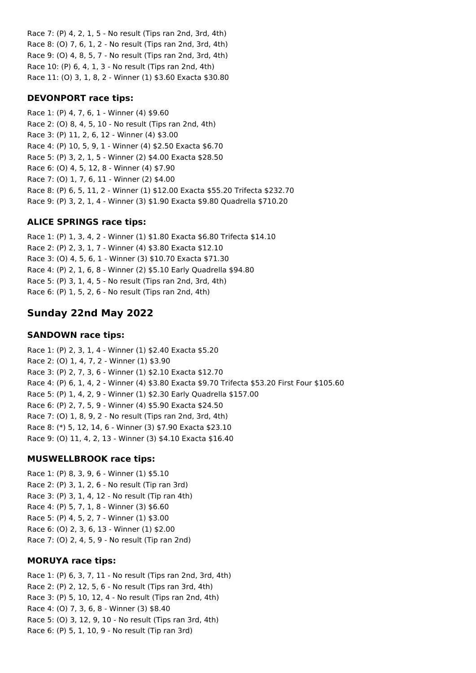Race 7: (P) 4, 2, 1, 5 - No result (Tips ran 2nd, 3rd, 4th) Race 8: (O) 7, 6, 1, 2 - No result (Tips ran 2nd, 3rd, 4th) Race 9: (O) 4, 8, 5, 7 - No result (Tips ran 2nd, 3rd, 4th) Race 10: (P) 6, 4, 1, 3 - No result (Tips ran 2nd, 4th) Race 11: (O) 3, 1, 8, 2 - Winner (1) \$3.60 Exacta \$30.80

### **DEVONPORT race tips:**

Race 1: (P) 4, 7, 6, 1 - Winner (4) \$9.60 Race 2: (O) 8, 4, 5, 10 - No result (Tips ran 2nd, 4th) Race 3: (P) 11, 2, 6, 12 - Winner (4) \$3.00 Race 4: (P) 10, 5, 9, 1 - Winner (4) \$2.50 Exacta \$6.70 Race 5: (P) 3, 2, 1, 5 - Winner (2) \$4.00 Exacta \$28.50 Race 6: (O) 4, 5, 12, 8 - Winner (4) \$7.90 Race 7: (O) 1, 7, 6, 11 - Winner (2) \$4.00 Race 8: (P) 6, 5, 11, 2 - Winner (1) \$12.00 Exacta \$55.20 Trifecta \$232.70 Race 9: (P) 3, 2, 1, 4 - Winner (3) \$1.90 Exacta \$9.80 Quadrella \$710.20

### **ALICE SPRINGS race tips:**

Race 1: (P) 1, 3, 4, 2 - Winner (1) \$1.80 Exacta \$6.80 Trifecta \$14.10 Race 2: (P) 2, 3, 1, 7 - Winner (4) \$3.80 Exacta \$12.10 Race 3: (O) 4, 5, 6, 1 - Winner (3) \$10.70 Exacta \$71.30 Race 4: (P) 2, 1, 6, 8 - Winner (2) \$5.10 Early Quadrella \$94.80 Race 5: (P) 3, 1, 4, 5 - No result (Tips ran 2nd, 3rd, 4th) Race 6: (P) 1, 5, 2, 6 - No result (Tips ran 2nd, 4th)

## **Sunday 22nd May 2022**

### **SANDOWN race tips:**

Race 1: (P) 2, 3, 1, 4 - Winner (1) \$2.40 Exacta \$5.20 Race 2: (O) 1, 4, 7, 2 - Winner (1) \$3.90 Race 3: (P) 2, 7, 3, 6 - Winner (1) \$2.10 Exacta \$12.70 Race 4: (P) 6, 1, 4, 2 - Winner (4) \$3.80 Exacta \$9.70 Trifecta \$53.20 First Four \$105.60 Race 5: (P) 1, 4, 2, 9 - Winner (1) \$2.30 Early Quadrella \$157.00 Race 6: (P) 2, 7, 5, 9 - Winner (4) \$5.90 Exacta \$24.50 Race 7: (O) 1, 8, 9, 2 - No result (Tips ran 2nd, 3rd, 4th) Race 8: (\*) 5, 12, 14, 6 - Winner (3) \$7.90 Exacta \$23.10 Race 9: (O) 11, 4, 2, 13 - Winner (3) \$4.10 Exacta \$16.40

#### **MUSWELLBROOK race tips:**

Race 1: (P) 8, 3, 9, 6 - Winner (1) \$5.10 Race 2: (P) 3, 1, 2, 6 - No result (Tip ran 3rd) Race 3: (P) 3, 1, 4, 12 - No result (Tip ran 4th) Race 4: (P) 5, 7, 1, 8 - Winner (3) \$6.60 Race 5: (P) 4, 5, 2, 7 - Winner (1) \$3.00 Race 6: (O) 2, 3, 6, 13 - Winner (1) \$2.00 Race 7: (O) 2, 4, 5, 9 - No result (Tip ran 2nd)

## **MORUYA race tips:**

Race 1: (P) 6, 3, 7, 11 - No result (Tips ran 2nd, 3rd, 4th) Race 2: (P) 2, 12, 5, 6 - No result (Tips ran 3rd, 4th) Race 3: (P) 5, 10, 12, 4 - No result (Tips ran 2nd, 4th) Race 4: (O) 7, 3, 6, 8 - Winner (3) \$8.40 Race 5: (O) 3, 12, 9, 10 - No result (Tips ran 3rd, 4th) Race 6: (P) 5, 1, 10, 9 - No result (Tip ran 3rd)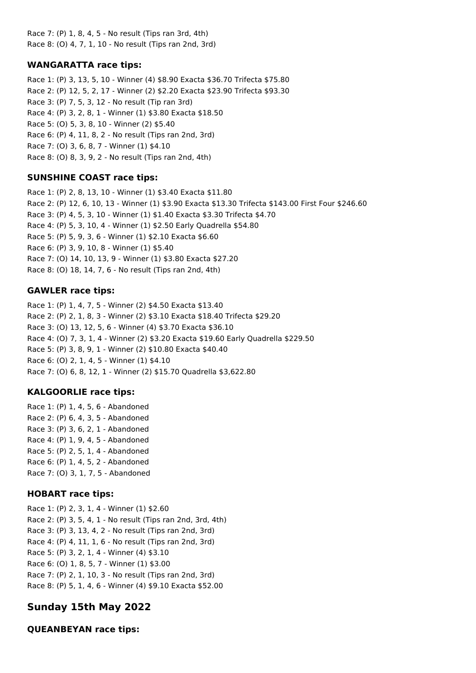Race 7: (P) 1, 8, 4, 5 - No result (Tips ran 3rd, 4th) Race 8: (O) 4, 7, 1, 10 - No result (Tips ran 2nd, 3rd)

## **WANGARATTA race tips:**

Race 1: (P) 3, 13, 5, 10 - Winner (4) \$8.90 Exacta \$36.70 Trifecta \$75.80 Race 2: (P) 12, 5, 2, 17 - Winner (2) \$2.20 Exacta \$23.90 Trifecta \$93.30 Race 3: (P) 7, 5, 3, 12 - No result (Tip ran 3rd) Race 4: (P) 3, 2, 8, 1 - Winner (1) \$3.80 Exacta \$18.50 Race 5: (O) 5, 3, 8, 10 - Winner (2) \$5.40 Race 6: (P) 4, 11, 8, 2 - No result (Tips ran 2nd, 3rd) Race 7: (O) 3, 6, 8, 7 - Winner (1) \$4.10 Race 8: (O) 8, 3, 9, 2 - No result (Tips ran 2nd, 4th)

## **SUNSHINE COAST race tips:**

Race 1: (P) 2, 8, 13, 10 - Winner (1) \$3.40 Exacta \$11.80 Race 2: (P) 12, 6, 10, 13 - Winner (1) \$3.90 Exacta \$13.30 Trifecta \$143.00 First Four \$246.60 Race 3: (P) 4, 5, 3, 10 - Winner (1) \$1.40 Exacta \$3.30 Trifecta \$4.70 Race 4: (P) 5, 3, 10, 4 - Winner (1) \$2.50 Early Quadrella \$54.80 Race 5: (P) 5, 9, 3, 6 - Winner (1) \$2.10 Exacta \$6.60 Race 6: (P) 3, 9, 10, 8 - Winner (1) \$5.40 Race 7: (O) 14, 10, 13, 9 - Winner (1) \$3.80 Exacta \$27.20 Race 8: (O) 18, 14, 7, 6 - No result (Tips ran 2nd, 4th)

## **GAWLER race tips:**

Race 1: (P) 1, 4, 7, 5 - Winner (2) \$4.50 Exacta \$13.40 Race 2: (P) 2, 1, 8, 3 - Winner (2) \$3.10 Exacta \$18.40 Trifecta \$29.20 Race 3: (O) 13, 12, 5, 6 - Winner (4) \$3.70 Exacta \$36.10 Race 4: (O) 7, 3, 1, 4 - Winner (2) \$3.20 Exacta \$19.60 Early Quadrella \$229.50 Race 5: (P) 3, 8, 9, 1 - Winner (2) \$10.80 Exacta \$40.40 Race 6: (O) 2, 1, 4, 5 - Winner (1) \$4.10 Race 7: (O) 6, 8, 12, 1 - Winner (2) \$15.70 Quadrella \$3,622.80

## **KALGOORLIE race tips:**

Race 1: (P) 1, 4, 5, 6 - Abandoned Race 2: (P) 6, 4, 3, 5 - Abandoned Race 3: (P) 3, 6, 2, 1 - Abandoned Race 4: (P) 1, 9, 4, 5 - Abandoned Race 5: (P) 2, 5, 1, 4 - Abandoned Race 6: (P) 1, 4, 5, 2 - Abandoned Race 7: (O) 3, 1, 7, 5 - Abandoned

## **HOBART race tips:**

Race 1: (P) 2, 3, 1, 4 - Winner (1) \$2.60 Race 2: (P) 3, 5, 4, 1 - No result (Tips ran 2nd, 3rd, 4th) Race 3: (P) 3, 13, 4, 2 - No result (Tips ran 2nd, 3rd) Race 4: (P) 4, 11, 1, 6 - No result (Tips ran 2nd, 3rd) Race 5: (P) 3, 2, 1, 4 - Winner (4) \$3.10 Race 6: (O) 1, 8, 5, 7 - Winner (1) \$3.00 Race 7: (P) 2, 1, 10, 3 - No result (Tips ran 2nd, 3rd) Race 8: (P) 5, 1, 4, 6 - Winner (4) \$9.10 Exacta \$52.00

# **Sunday 15th May 2022**

## **QUEANBEYAN race tips:**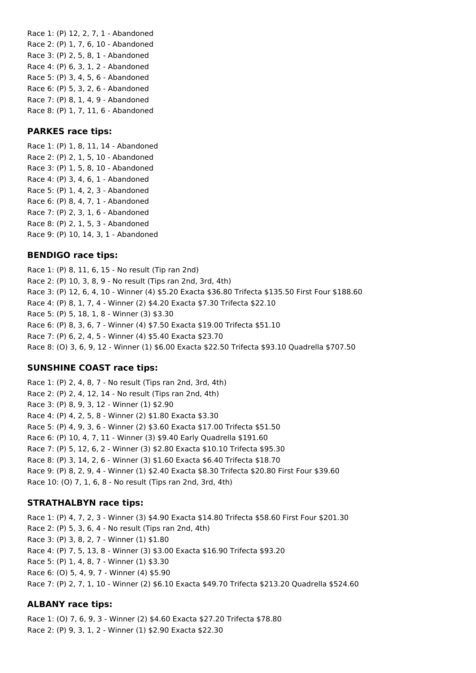Race 1: (P) 12, 2, 7, 1 - Abandoned Race 2: (P) 1, 7, 6, 10 - Abandoned Race 3: (P) 2, 5, 8, 1 - Abandoned Race 4: (P) 6, 3, 1, 2 - Abandoned Race 5: (P) 3, 4, 5, 6 - Abandoned Race 6: (P) 5, 3, 2, 6 - Abandoned Race 7: (P) 8, 1, 4, 9 - Abandoned Race 8: (P) 1, 7, 11, 6 - Abandoned

### **PARKES race tips:**

Race 1: (P) 1, 8, 11, 14 - Abandoned Race 2: (P) 2, 1, 5, 10 - Abandoned Race 3: (P) 1, 5, 8, 10 - Abandoned Race 4: (P) 3, 4, 6, 1 - Abandoned Race 5: (P) 1, 4, 2, 3 - Abandoned Race 6: (P) 8, 4, 7, 1 - Abandoned Race 7: (P) 2, 3, 1, 6 - Abandoned Race 8: (P) 2, 1, 5, 3 - Abandoned Race 9: (P) 10, 14, 3, 1 - Abandoned

### **BENDIGO race tips:**

Race 1: (P) 8, 11, 6, 15 - No result (Tip ran 2nd) Race 2: (P) 10, 3, 8, 9 - No result (Tips ran 2nd, 3rd, 4th) Race 3: (P) 12, 6, 4, 10 - Winner (4) \$5.20 Exacta \$36.80 Trifecta \$135.50 First Four \$188.60 Race 4: (P) 8, 1, 7, 4 - Winner (2) \$4.20 Exacta \$7.30 Trifecta \$22.10 Race 5: (P) 5, 18, 1, 8 - Winner (3) \$3.30 Race 6: (P) 8, 3, 6, 7 - Winner (4) \$7.50 Exacta \$19.00 Trifecta \$51.10 Race 7: (P) 6, 2, 4, 5 - Winner (4) \$5.40 Exacta \$23.70 Race 8: (O) 3, 6, 9, 12 - Winner (1) \$6.00 Exacta \$22.50 Trifecta \$93.10 Quadrella \$707.50

#### **SUNSHINE COAST race tips:**

Race 1: (P) 2, 4, 8, 7 - No result (Tips ran 2nd, 3rd, 4th) Race 2: (P) 2, 4, 12, 14 - No result (Tips ran 2nd, 4th) Race 3: (P) 8, 9, 3, 12 - Winner (1) \$2.90 Race 4: (P) 4, 2, 5, 8 - Winner (2) \$1.80 Exacta \$3.30 Race 5: (P) 4, 9, 3, 6 - Winner (2) \$3.60 Exacta \$17.00 Trifecta \$51.50 Race 6: (P) 10, 4, 7, 11 - Winner (3) \$9.40 Early Quadrella \$191.60 Race 7: (P) 5, 12, 6, 2 - Winner (3) \$2.80 Exacta \$10.10 Trifecta \$95.30 Race 8: (P) 3, 14, 2, 6 - Winner (3) \$1.60 Exacta \$6.40 Trifecta \$18.70 Race 9: (P) 8, 2, 9, 4 - Winner (1) \$2.40 Exacta \$8.30 Trifecta \$20.80 First Four \$39.60 Race 10: (O) 7, 1, 6, 8 - No result (Tips ran 2nd, 3rd, 4th)

#### **STRATHALBYN race tips:**

Race 1: (P) 4, 7, 2, 3 - Winner (3) \$4.90 Exacta \$14.80 Trifecta \$58.60 First Four \$201.30 Race 2: (P) 5, 3, 6, 4 - No result (Tips ran 2nd, 4th) Race 3: (P) 3, 8, 2, 7 - Winner (1) \$1.80 Race 4: (P) 7, 5, 13, 8 - Winner (3) \$3.00 Exacta \$16.90 Trifecta \$93.20 Race 5: (P) 1, 4, 8, 7 - Winner (1) \$3.30 Race 6: (O) 5, 4, 9, 7 - Winner (4) \$5.90 Race 7: (P) 2, 7, 1, 10 - Winner (2) \$6.10 Exacta \$49.70 Trifecta \$213.20 Quadrella \$524.60

## **ALBANY race tips:**

Race 1: (O) 7, 6, 9, 3 - Winner (2) \$4.60 Exacta \$27.20 Trifecta \$78.80 Race 2: (P) 9, 3, 1, 2 - Winner (1) \$2.90 Exacta \$22.30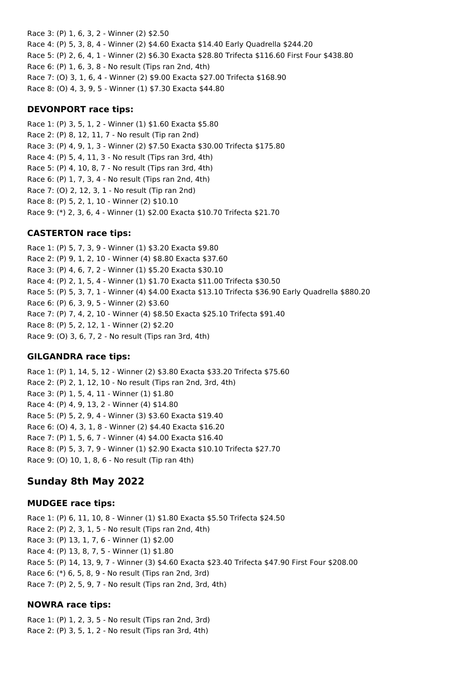Race 3: (P) 1, 6, 3, 2 - Winner (2) \$2.50 Race 4: (P) 5, 3, 8, 4 - Winner (2) \$4.60 Exacta \$14.40 Early Quadrella \$244.20 Race 5: (P) 2, 6, 4, 1 - Winner (2) \$6.30 Exacta \$28.80 Trifecta \$116.60 First Four \$438.80 Race 6: (P) 1, 6, 3, 8 - No result (Tips ran 2nd, 4th) Race 7: (O) 3, 1, 6, 4 - Winner (2) \$9.00 Exacta \$27.00 Trifecta \$168.90 Race 8: (O) 4, 3, 9, 5 - Winner (1) \$7.30 Exacta \$44.80

#### **DEVONPORT race tips:**

Race 1: (P) 3, 5, 1, 2 - Winner (1) \$1.60 Exacta \$5.80 Race 2: (P) 8, 12, 11, 7 - No result (Tip ran 2nd) Race 3: (P) 4, 9, 1, 3 - Winner (2) \$7.50 Exacta \$30.00 Trifecta \$175.80 Race 4: (P) 5, 4, 11, 3 - No result (Tips ran 3rd, 4th) Race 5: (P) 4, 10, 8, 7 - No result (Tips ran 3rd, 4th) Race 6: (P) 1, 7, 3, 4 - No result (Tips ran 2nd, 4th) Race 7: (O) 2, 12, 3, 1 - No result (Tip ran 2nd) Race 8: (P) 5, 2, 1, 10 - Winner (2) \$10.10 Race 9: (\*) 2, 3, 6, 4 - Winner (1) \$2.00 Exacta \$10.70 Trifecta \$21.70

## **CASTERTON race tips:**

Race 1: (P) 5, 7, 3, 9 - Winner (1) \$3.20 Exacta \$9.80 Race 2: (P) 9, 1, 2, 10 - Winner (4) \$8.80 Exacta \$37.60 Race 3: (P) 4, 6, 7, 2 - Winner (1) \$5.20 Exacta \$30.10 Race 4: (P) 2, 1, 5, 4 - Winner (1) \$1.70 Exacta \$11.00 Trifecta \$30.50 Race 5: (P) 5, 3, 7, 1 - Winner (4) \$4.00 Exacta \$13.10 Trifecta \$36.90 Early Quadrella \$880.20 Race 6: (P) 6, 3, 9, 5 - Winner (2) \$3.60 Race 7: (P) 7, 4, 2, 10 - Winner (4) \$8.50 Exacta \$25.10 Trifecta \$91.40 Race 8: (P) 5, 2, 12, 1 - Winner (2) \$2.20 Race 9: (O) 3, 6, 7, 2 - No result (Tips ran 3rd, 4th)

## **GILGANDRA race tips:**

Race 1: (P) 1, 14, 5, 12 - Winner (2) \$3.80 Exacta \$33.20 Trifecta \$75.60 Race 2: (P) 2, 1, 12, 10 - No result (Tips ran 2nd, 3rd, 4th) Race 3: (P) 1, 5, 4, 11 - Winner (1) \$1.80 Race 4: (P) 4, 9, 13, 2 - Winner (4) \$14.80 Race 5: (P) 5, 2, 9, 4 - Winner (3) \$3.60 Exacta \$19.40 Race 6: (O) 4, 3, 1, 8 - Winner (2) \$4.40 Exacta \$16.20 Race 7: (P) 1, 5, 6, 7 - Winner (4) \$4.00 Exacta \$16.40 Race 8: (P) 5, 3, 7, 9 - Winner (1) \$2.90 Exacta \$10.10 Trifecta \$27.70 Race 9: (O) 10, 1, 8, 6 - No result (Tip ran 4th)

# **Sunday 8th May 2022**

## **MUDGEE race tips:**

Race 1: (P) 6, 11, 10, 8 - Winner (1) \$1.80 Exacta \$5.50 Trifecta \$24.50 Race 2: (P) 2, 3, 1, 5 - No result (Tips ran 2nd, 4th) Race 3: (P) 13, 1, 7, 6 - Winner (1) \$2.00 Race 4: (P) 13, 8, 7, 5 - Winner (1) \$1.80 Race 5: (P) 14, 13, 9, 7 - Winner (3) \$4.60 Exacta \$23.40 Trifecta \$47.90 First Four \$208.00 Race 6: (\*) 6, 5, 8, 9 - No result (Tips ran 2nd, 3rd) Race 7: (P) 2, 5, 9, 7 - No result (Tips ran 2nd, 3rd, 4th)

## **NOWRA race tips:**

Race 1: (P) 1, 2, 3, 5 - No result (Tips ran 2nd, 3rd) Race 2: (P) 3, 5, 1, 2 - No result (Tips ran 3rd, 4th)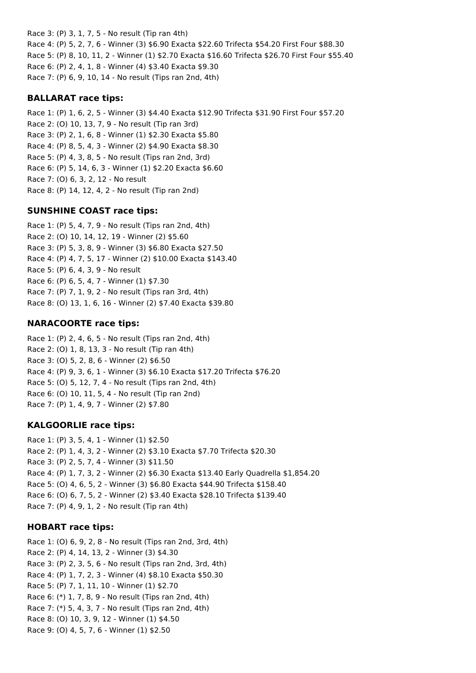Race 3: (P) 3, 1, 7, 5 - No result (Tip ran 4th) Race 4: (P) 5, 2, 7, 6 - Winner (3) \$6.90 Exacta \$22.60 Trifecta \$54.20 First Four \$88.30 Race 5: (P) 8, 10, 11, 2 - Winner (1) \$2.70 Exacta \$16.60 Trifecta \$26.70 First Four \$55.40 Race 6: (P) 2, 4, 1, 8 - Winner (4) \$3.40 Exacta \$9.30 Race 7: (P) 6, 9, 10, 14 - No result (Tips ran 2nd, 4th)

#### **BALLARAT race tips:**

Race 1: (P) 1, 6, 2, 5 - Winner (3) \$4.40 Exacta \$12.90 Trifecta \$31.90 First Four \$57.20 Race 2: (O) 10, 13, 7, 9 - No result (Tip ran 3rd) Race 3: (P) 2, 1, 6, 8 - Winner (1) \$2.30 Exacta \$5.80 Race 4: (P) 8, 5, 4, 3 - Winner (2) \$4.90 Exacta \$8.30 Race 5: (P) 4, 3, 8, 5 - No result (Tips ran 2nd, 3rd) Race 6: (P) 5, 14, 6, 3 - Winner (1) \$2.20 Exacta \$6.60 Race 7: (O) 6, 3, 2, 12 - No result Race 8: (P) 14, 12, 4, 2 - No result (Tip ran 2nd)

### **SUNSHINE COAST race tips:**

Race 1: (P) 5, 4, 7, 9 - No result (Tips ran 2nd, 4th) Race 2: (O) 10, 14, 12, 19 - Winner (2) \$5.60 Race 3: (P) 5, 3, 8, 9 - Winner (3) \$6.80 Exacta \$27.50 Race 4: (P) 4, 7, 5, 17 - Winner (2) \$10.00 Exacta \$143.40 Race 5: (P) 6, 4, 3, 9 - No result Race 6: (P) 6, 5, 4, 7 - Winner (1) \$7.30 Race 7: (P) 7, 1, 9, 2 - No result (Tips ran 3rd, 4th) Race 8: (O) 13, 1, 6, 16 - Winner (2) \$7.40 Exacta \$39.80

## **NARACOORTE race tips:**

Race 1: (P) 2, 4, 6, 5 - No result (Tips ran 2nd, 4th) Race 2: (O) 1, 8, 13, 3 - No result (Tip ran 4th) Race 3: (O) 5, 2, 8, 6 - Winner (2) \$6.50 Race 4: (P) 9, 3, 6, 1 - Winner (3) \$6.10 Exacta \$17.20 Trifecta \$76.20 Race 5: (O) 5, 12, 7, 4 - No result (Tips ran 2nd, 4th) Race 6: (O) 10, 11, 5, 4 - No result (Tip ran 2nd) Race 7: (P) 1, 4, 9, 7 - Winner (2) \$7.80

#### **KALGOORLIE race tips:**

Race 1: (P) 3, 5, 4, 1 - Winner (1) \$2.50 Race 2: (P) 1, 4, 3, 2 - Winner (2) \$3.10 Exacta \$7.70 Trifecta \$20.30 Race 3: (P) 2, 5, 7, 4 - Winner (3) \$11.50 Race 4: (P) 1, 7, 3, 2 - Winner (2) \$6.30 Exacta \$13.40 Early Quadrella \$1,854.20 Race 5: (O) 4, 6, 5, 2 - Winner (3) \$6.80 Exacta \$44.90 Trifecta \$158.40 Race 6: (O) 6, 7, 5, 2 - Winner (2) \$3.40 Exacta \$28.10 Trifecta \$139.40 Race 7: (P) 4, 9, 1, 2 - No result (Tip ran 4th)

#### **HOBART race tips:**

Race 1: (O) 6, 9, 2, 8 - No result (Tips ran 2nd, 3rd, 4th) Race 2: (P) 4, 14, 13, 2 - Winner (3) \$4.30 Race 3: (P) 2, 3, 5, 6 - No result (Tips ran 2nd, 3rd, 4th) Race 4: (P) 1, 7, 2, 3 - Winner (4) \$8.10 Exacta \$50.30 Race 5: (P) 7, 1, 11, 10 - Winner (1) \$2.70 Race 6: (\*) 1, 7, 8, 9 - No result (Tips ran 2nd, 4th) Race 7: (\*) 5, 4, 3, 7 - No result (Tips ran 2nd, 4th) Race 8: (O) 10, 3, 9, 12 - Winner (1) \$4.50 Race 9: (O) 4, 5, 7, 6 - Winner (1) \$2.50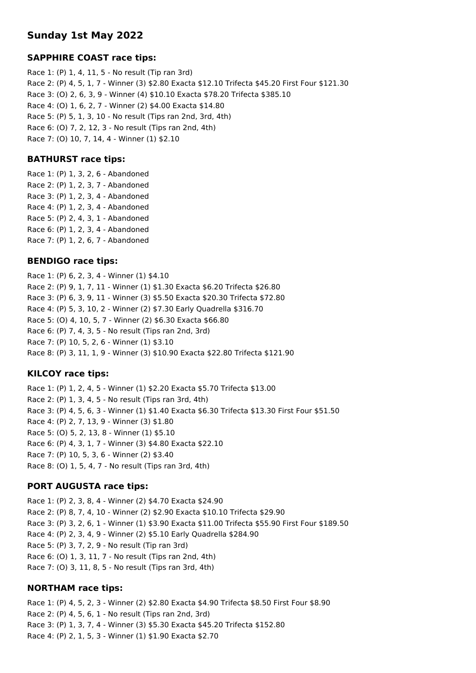## **Sunday 1st May 2022**

## **SAPPHIRE COAST race tips:**

Race 1: (P) 1, 4, 11, 5 - No result (Tip ran 3rd) Race 2: (P) 4, 5, 1, 7 - Winner (3) \$2.80 Exacta \$12.10 Trifecta \$45.20 First Four \$121.30 Race 3: (O) 2, 6, 3, 9 - Winner (4) \$10.10 Exacta \$78.20 Trifecta \$385.10 Race 4: (O) 1, 6, 2, 7 - Winner (2) \$4.00 Exacta \$14.80 Race 5: (P) 5, 1, 3, 10 - No result (Tips ran 2nd, 3rd, 4th) Race 6: (O) 7, 2, 12, 3 - No result (Tips ran 2nd, 4th) Race 7: (O) 10, 7, 14, 4 - Winner (1) \$2.10

## **BATHURST race tips:**

Race 1: (P) 1, 3, 2, 6 - Abandoned Race 2: (P) 1, 2, 3, 7 - Abandoned Race 3: (P) 1, 2, 3, 4 - Abandoned Race 4: (P) 1, 2, 3, 4 - Abandoned Race 5: (P) 2, 4, 3, 1 - Abandoned Race 6: (P) 1, 2, 3, 4 - Abandoned Race 7: (P) 1, 2, 6, 7 - Abandoned

## **BENDIGO race tips:**

Race 1: (P) 6, 2, 3, 4 - Winner (1) \$4.10 Race 2: (P) 9, 1, 7, 11 - Winner (1) \$1.30 Exacta \$6.20 Trifecta \$26.80 Race 3: (P) 6, 3, 9, 11 - Winner (3) \$5.50 Exacta \$20.30 Trifecta \$72.80 Race 4: (P) 5, 3, 10, 2 - Winner (2) \$7.30 Early Quadrella \$316.70 Race 5: (O) 4, 10, 5, 7 - Winner (2) \$6.30 Exacta \$66.80 Race 6: (P) 7, 4, 3, 5 - No result (Tips ran 2nd, 3rd) Race 7: (P) 10, 5, 2, 6 - Winner (1) \$3.10 Race 8: (P) 3, 11, 1, 9 - Winner (3) \$10.90 Exacta \$22.80 Trifecta \$121.90

## **KILCOY race tips:**

Race 1: (P) 1, 2, 4, 5 - Winner (1) \$2.20 Exacta \$5.70 Trifecta \$13.00 Race 2: (P) 1, 3, 4, 5 - No result (Tips ran 3rd, 4th) Race 3: (P) 4, 5, 6, 3 - Winner (1) \$1.40 Exacta \$6.30 Trifecta \$13.30 First Four \$51.50 Race 4: (P) 2, 7, 13, 9 - Winner (3) \$1.80 Race 5: (O) 5, 2, 13, 8 - Winner (1) \$5.10 Race 6: (P) 4, 3, 1, 7 - Winner (3) \$4.80 Exacta \$22.10 Race 7: (P) 10, 5, 3, 6 - Winner (2) \$3.40 Race 8: (O) 1, 5, 4, 7 - No result (Tips ran 3rd, 4th)

## **PORT AUGUSTA race tips:**

Race 1: (P) 2, 3, 8, 4 - Winner (2) \$4.70 Exacta \$24.90 Race 2: (P) 8, 7, 4, 10 - Winner (2) \$2.90 Exacta \$10.10 Trifecta \$29.90 Race 3: (P) 3, 2, 6, 1 - Winner (1) \$3.90 Exacta \$11.00 Trifecta \$55.90 First Four \$189.50 Race 4: (P) 2, 3, 4, 9 - Winner (2) \$5.10 Early Quadrella \$284.90 Race 5: (P) 3, 7, 2, 9 - No result (Tip ran 3rd) Race 6: (O) 1, 3, 11, 7 - No result (Tips ran 2nd, 4th) Race 7: (O) 3, 11, 8, 5 - No result (Tips ran 3rd, 4th)

## **NORTHAM race tips:**

Race 1: (P) 4, 5, 2, 3 - Winner (2) \$2.80 Exacta \$4.90 Trifecta \$8.50 First Four \$8.90 Race 2: (P) 4, 5, 6, 1 - No result (Tips ran 2nd, 3rd) Race 3: (P) 1, 3, 7, 4 - Winner (3) \$5.30 Exacta \$45.20 Trifecta \$152.80 Race 4: (P) 2, 1, 5, 3 - Winner (1) \$1.90 Exacta \$2.70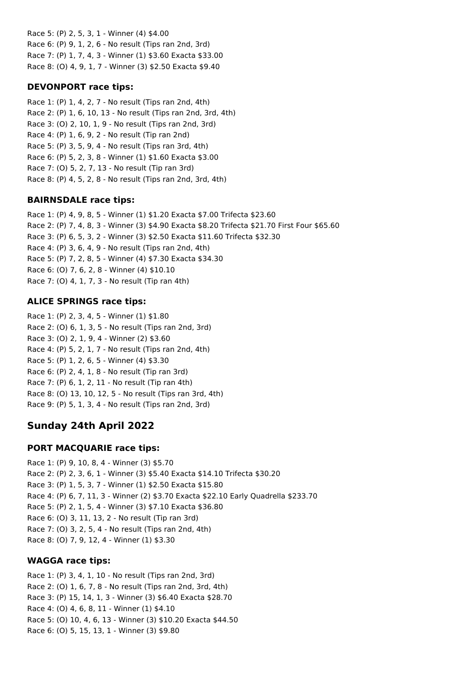Race 5: (P) 2, 5, 3, 1 - Winner (4) \$4.00 Race 6: (P) 9, 1, 2, 6 - No result (Tips ran 2nd, 3rd) Race 7: (P) 1, 7, 4, 3 - Winner (1) \$3.60 Exacta \$33.00 Race 8: (O) 4, 9, 1, 7 - Winner (3) \$2.50 Exacta \$9.40

## **DEVONPORT race tips:**

Race 1: (P) 1, 4, 2, 7 - No result (Tips ran 2nd, 4th) Race 2: (P) 1, 6, 10, 13 - No result (Tips ran 2nd, 3rd, 4th) Race 3: (O) 2, 10, 1, 9 - No result (Tips ran 2nd, 3rd) Race 4: (P) 1, 6, 9, 2 - No result (Tip ran 2nd) Race 5: (P) 3, 5, 9, 4 - No result (Tips ran 3rd, 4th) Race 6: (P) 5, 2, 3, 8 - Winner (1) \$1.60 Exacta \$3.00 Race 7: (O) 5, 2, 7, 13 - No result (Tip ran 3rd) Race 8: (P) 4, 5, 2, 8 - No result (Tips ran 2nd, 3rd, 4th)

## **BAIRNSDALE race tips:**

Race 1: (P) 4, 9, 8, 5 - Winner (1) \$1.20 Exacta \$7.00 Trifecta \$23.60 Race 2: (P) 7, 4, 8, 3 - Winner (3) \$4.90 Exacta \$8.20 Trifecta \$21.70 First Four \$65.60 Race 3: (P) 6, 5, 3, 2 - Winner (3) \$2.50 Exacta \$11.60 Trifecta \$32.30 Race 4: (P) 3, 6, 4, 9 - No result (Tips ran 2nd, 4th) Race 5: (P) 7, 2, 8, 5 - Winner (4) \$7.30 Exacta \$34.30 Race 6: (O) 7, 6, 2, 8 - Winner (4) \$10.10 Race 7: (O) 4, 1, 7, 3 - No result (Tip ran 4th)

## **ALICE SPRINGS race tips:**

Race 1: (P) 2, 3, 4, 5 - Winner (1) \$1.80 Race 2: (O) 6, 1, 3, 5 - No result (Tips ran 2nd, 3rd) Race 3: (O) 2, 1, 9, 4 - Winner (2) \$3.60 Race 4: (P) 5, 2, 1, 7 - No result (Tips ran 2nd, 4th) Race 5: (P) 1, 2, 6, 5 - Winner (4) \$3.30 Race 6: (P) 2, 4, 1, 8 - No result (Tip ran 3rd) Race 7: (P) 6, 1, 2, 11 - No result (Tip ran 4th) Race 8: (O) 13, 10, 12, 5 - No result (Tips ran 3rd, 4th) Race 9: (P) 5, 1, 3, 4 - No result (Tips ran 2nd, 3rd)

# **Sunday 24th April 2022**

## **PORT MACQUARIE race tips:**

Race 1: (P) 9, 10, 8, 4 - Winner (3) \$5.70 Race 2: (P) 2, 3, 6, 1 - Winner (3) \$5.40 Exacta \$14.10 Trifecta \$30.20 Race 3: (P) 1, 5, 3, 7 - Winner (1) \$2.50 Exacta \$15.80 Race 4: (P) 6, 7, 11, 3 - Winner (2) \$3.70 Exacta \$22.10 Early Quadrella \$233.70 Race 5: (P) 2, 1, 5, 4 - Winner (3) \$7.10 Exacta \$36.80 Race 6: (O) 3, 11, 13, 2 - No result (Tip ran 3rd) Race 7: (O) 3, 2, 5, 4 - No result (Tips ran 2nd, 4th) Race 8: (O) 7, 9, 12, 4 - Winner (1) \$3.30

## **WAGGA race tips:**

Race 1: (P) 3, 4, 1, 10 - No result (Tips ran 2nd, 3rd) Race 2: (O) 1, 6, 7, 8 - No result (Tips ran 2nd, 3rd, 4th) Race 3: (P) 15, 14, 1, 3 - Winner (3) \$6.40 Exacta \$28.70 Race 4: (O) 4, 6, 8, 11 - Winner (1) \$4.10 Race 5: (O) 10, 4, 6, 13 - Winner (3) \$10.20 Exacta \$44.50 Race 6: (O) 5, 15, 13, 1 - Winner (3) \$9.80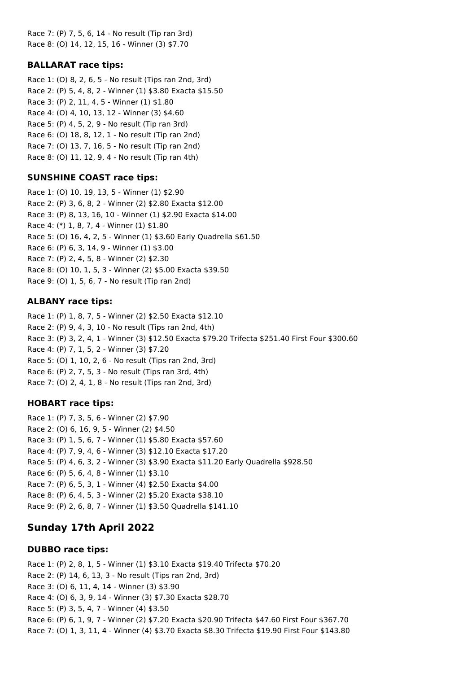Race 7: (P) 7, 5, 6, 14 - No result (Tip ran 3rd) Race 8: (O) 14, 12, 15, 16 - Winner (3) \$7.70

### **BALLARAT race tips:**

Race 1: (O) 8, 2, 6, 5 - No result (Tips ran 2nd, 3rd) Race 2: (P) 5, 4, 8, 2 - Winner (1) \$3.80 Exacta \$15.50 Race 3: (P) 2, 11, 4, 5 - Winner (1) \$1.80 Race 4: (O) 4, 10, 13, 12 - Winner (3) \$4.60 Race 5: (P) 4, 5, 2, 9 - No result (Tip ran 3rd) Race 6: (O) 18, 8, 12, 1 - No result (Tip ran 2nd) Race 7: (O) 13, 7, 16, 5 - No result (Tip ran 2nd) Race 8: (O) 11, 12, 9, 4 - No result (Tip ran 4th)

### **SUNSHINE COAST race tips:**

Race 1: (O) 10, 19, 13, 5 - Winner (1) \$2.90 Race 2: (P) 3, 6, 8, 2 - Winner (2) \$2.80 Exacta \$12.00 Race 3: (P) 8, 13, 16, 10 - Winner (1) \$2.90 Exacta \$14.00 Race 4: (\*) 1, 8, 7, 4 - Winner (1) \$1.80 Race 5: (O) 16, 4, 2, 5 - Winner (1) \$3.60 Early Quadrella \$61.50 Race 6: (P) 6, 3, 14, 9 - Winner (1) \$3.00 Race 7: (P) 2, 4, 5, 8 - Winner (2) \$2.30 Race 8: (O) 10, 1, 5, 3 - Winner (2) \$5.00 Exacta \$39.50 Race 9: (O) 1, 5, 6, 7 - No result (Tip ran 2nd)

#### **ALBANY race tips:**

Race 1: (P) 1, 8, 7, 5 - Winner (2) \$2.50 Exacta \$12.10 Race 2: (P) 9, 4, 3, 10 - No result (Tips ran 2nd, 4th) Race 3: (P) 3, 2, 4, 1 - Winner (3) \$12.50 Exacta \$79.20 Trifecta \$251.40 First Four \$300.60 Race 4: (P) 7, 1, 5, 2 - Winner (3) \$7.20 Race 5: (O) 1, 10, 2, 6 - No result (Tips ran 2nd, 3rd) Race 6: (P) 2, 7, 5, 3 - No result (Tips ran 3rd, 4th) Race 7: (O) 2, 4, 1, 8 - No result (Tips ran 2nd, 3rd)

#### **HOBART race tips:**

Race 1: (P) 7, 3, 5, 6 - Winner (2) \$7.90 Race 2: (O) 6, 16, 9, 5 - Winner (2) \$4.50 Race 3: (P) 1, 5, 6, 7 - Winner (1) \$5.80 Exacta \$57.60 Race 4: (P) 7, 9, 4, 6 - Winner (3) \$12.10 Exacta \$17.20 Race 5: (P) 4, 6, 3, 2 - Winner (3) \$3.90 Exacta \$11.20 Early Quadrella \$928.50 Race 6: (P) 5, 6, 4, 8 - Winner (1) \$3.10 Race 7: (P) 6, 5, 3, 1 - Winner (4) \$2.50 Exacta \$4.00 Race 8: (P) 6, 4, 5, 3 - Winner (2) \$5.20 Exacta \$38.10 Race 9: (P) 2, 6, 8, 7 - Winner (1) \$3.50 Quadrella \$141.10

## **Sunday 17th April 2022**

#### **DUBBO race tips:**

Race 1: (P) 2, 8, 1, 5 - Winner (1) \$3.10 Exacta \$19.40 Trifecta \$70.20 Race 2: (P) 14, 6, 13, 3 - No result (Tips ran 2nd, 3rd) Race 3: (O) 6, 11, 4, 14 - Winner (3) \$3.90 Race 4: (O) 6, 3, 9, 14 - Winner (3) \$7.30 Exacta \$28.70 Race 5: (P) 3, 5, 4, 7 - Winner (4) \$3.50 Race 6: (P) 6, 1, 9, 7 - Winner (2) \$7.20 Exacta \$20.90 Trifecta \$47.60 First Four \$367.70 Race 7: (O) 1, 3, 11, 4 - Winner (4) \$3.70 Exacta \$8.30 Trifecta \$19.90 First Four \$143.80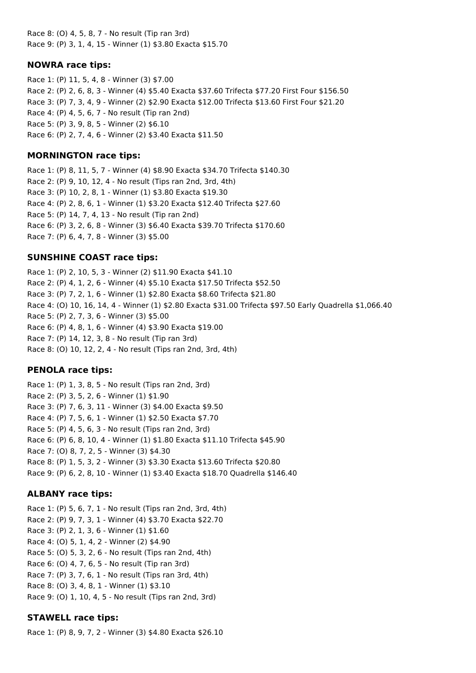Race 8: (O) 4, 5, 8, 7 - No result (Tip ran 3rd) Race 9: (P) 3, 1, 4, 15 - Winner (1) \$3.80 Exacta \$15.70

#### **NOWRA race tips:**

Race 1: (P) 11, 5, 4, 8 - Winner (3) \$7.00 Race 2: (P) 2, 6, 8, 3 - Winner (4) \$5.40 Exacta \$37.60 Trifecta \$77.20 First Four \$156.50 Race 3: (P) 7, 3, 4, 9 - Winner (2) \$2.90 Exacta \$12.00 Trifecta \$13.60 First Four \$21.20 Race 4: (P) 4, 5, 6, 7 - No result (Tip ran 2nd) Race 5: (P) 3, 9, 8, 5 - Winner (2) \$6.10 Race 6: (P) 2, 7, 4, 6 - Winner (2) \$3.40 Exacta \$11.50

### **MORNINGTON race tips:**

Race 1: (P) 8, 11, 5, 7 - Winner (4) \$8.90 Exacta \$34.70 Trifecta \$140.30 Race 2: (P) 9, 10, 12, 4 - No result (Tips ran 2nd, 3rd, 4th) Race 3: (P) 10, 2, 8, 1 - Winner (1) \$3.80 Exacta \$19.30 Race 4: (P) 2, 8, 6, 1 - Winner (1) \$3.20 Exacta \$12.40 Trifecta \$27.60 Race 5: (P) 14, 7, 4, 13 - No result (Tip ran 2nd) Race 6: (P) 3, 2, 6, 8 - Winner (3) \$6.40 Exacta \$39.70 Trifecta \$170.60 Race 7: (P) 6, 4, 7, 8 - Winner (3) \$5.00

## **SUNSHINE COAST race tips:**

Race 1: (P) 2, 10, 5, 3 - Winner (2) \$11.90 Exacta \$41.10 Race 2: (P) 4, 1, 2, 6 - Winner (4) \$5.10 Exacta \$17.50 Trifecta \$52.50 Race 3: (P) 7, 2, 1, 6 - Winner (1) \$2.80 Exacta \$8.60 Trifecta \$21.80 Race 4: (O) 10, 16, 14, 4 - Winner (1) \$2.80 Exacta \$31.00 Trifecta \$97.50 Early Quadrella \$1,066.40 Race 5: (P) 2, 7, 3, 6 - Winner (3) \$5.00 Race 6: (P) 4, 8, 1, 6 - Winner (4) \$3.90 Exacta \$19.00 Race 7: (P) 14, 12, 3, 8 - No result (Tip ran 3rd) Race 8: (O) 10, 12, 2, 4 - No result (Tips ran 2nd, 3rd, 4th)

## **PENOLA race tips:**

Race 1: (P) 1, 3, 8, 5 - No result (Tips ran 2nd, 3rd) Race 2: (P) 3, 5, 2, 6 - Winner (1) \$1.90 Race 3: (P) 7, 6, 3, 11 - Winner (3) \$4.00 Exacta \$9.50 Race 4: (P) 7, 5, 6, 1 - Winner (1) \$2.50 Exacta \$7.70 Race 5: (P) 4, 5, 6, 3 - No result (Tips ran 2nd, 3rd) Race 6: (P) 6, 8, 10, 4 - Winner (1) \$1.80 Exacta \$11.10 Trifecta \$45.90 Race 7: (O) 8, 7, 2, 5 - Winner (3) \$4.30 Race 8: (P) 1, 5, 3, 2 - Winner (3) \$3.30 Exacta \$13.60 Trifecta \$20.80 Race 9: (P) 6, 2, 8, 10 - Winner (1) \$3.40 Exacta \$18.70 Quadrella \$146.40

## **ALBANY race tips:**

Race 1: (P) 5, 6, 7, 1 - No result (Tips ran 2nd, 3rd, 4th) Race 2: (P) 9, 7, 3, 1 - Winner (4) \$3.70 Exacta \$22.70 Race 3: (P) 2, 1, 3, 6 - Winner (1) \$1.60 Race 4: (O) 5, 1, 4, 2 - Winner (2) \$4.90 Race 5: (O) 5, 3, 2, 6 - No result (Tips ran 2nd, 4th) Race 6: (O) 4, 7, 6, 5 - No result (Tip ran 3rd) Race 7: (P) 3, 7, 6, 1 - No result (Tips ran 3rd, 4th) Race 8: (O) 3, 4, 8, 1 - Winner (1) \$3.10 Race 9: (O) 1, 10, 4, 5 - No result (Tips ran 2nd, 3rd)

## **STAWELL race tips:**

Race 1: (P) 8, 9, 7, 2 - Winner (3) \$4.80 Exacta \$26.10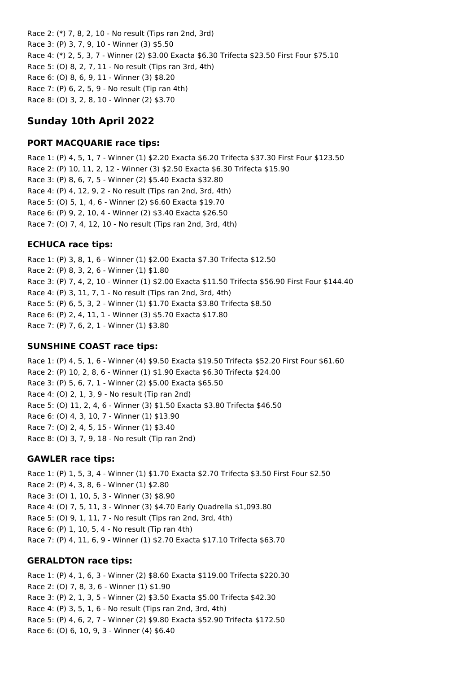Race 2: (\*) 7, 8, 2, 10 - No result (Tips ran 2nd, 3rd) Race 3: (P) 3, 7, 9, 10 - Winner (3) \$5.50 Race 4: (\*) 2, 5, 3, 7 - Winner (2) \$3.00 Exacta \$6.30 Trifecta \$23.50 First Four \$75.10 Race 5: (O) 8, 2, 7, 11 - No result (Tips ran 3rd, 4th) Race 6: (O) 8, 6, 9, 11 - Winner (3) \$8.20 Race 7: (P) 6, 2, 5, 9 - No result (Tip ran 4th) Race 8: (O) 3, 2, 8, 10 - Winner (2) \$3.70

# **Sunday 10th April 2022**

## **PORT MACQUARIE race tips:**

Race 1: (P) 4, 5, 1, 7 - Winner (1) \$2.20 Exacta \$6.20 Trifecta \$37.30 First Four \$123.50 Race 2: (P) 10, 11, 2, 12 - Winner (3) \$2.50 Exacta \$6.30 Trifecta \$15.90 Race 3: (P) 8, 6, 7, 5 - Winner (2) \$5.40 Exacta \$32.80 Race 4: (P) 4, 12, 9, 2 - No result (Tips ran 2nd, 3rd, 4th) Race 5: (O) 5, 1, 4, 6 - Winner (2) \$6.60 Exacta \$19.70 Race 6: (P) 9, 2, 10, 4 - Winner (2) \$3.40 Exacta \$26.50 Race 7: (O) 7, 4, 12, 10 - No result (Tips ran 2nd, 3rd, 4th)

## **ECHUCA race tips:**

Race 1: (P) 3, 8, 1, 6 - Winner (1) \$2.00 Exacta \$7.30 Trifecta \$12.50 Race 2: (P) 8, 3, 2, 6 - Winner (1) \$1.80 Race 3: (P) 7, 4, 2, 10 - Winner (1) \$2.00 Exacta \$11.50 Trifecta \$56.90 First Four \$144.40 Race 4: (P) 3, 11, 7, 1 - No result (Tips ran 2nd, 3rd, 4th) Race 5: (P) 6, 5, 3, 2 - Winner (1) \$1.70 Exacta \$3.80 Trifecta \$8.50 Race 6: (P) 2, 4, 11, 1 - Winner (3) \$5.70 Exacta \$17.80 Race 7: (P) 7, 6, 2, 1 - Winner (1) \$3.80

## **SUNSHINE COAST race tips:**

Race 1: (P) 4, 5, 1, 6 - Winner (4) \$9.50 Exacta \$19.50 Trifecta \$52.20 First Four \$61.60 Race 2: (P) 10, 2, 8, 6 - Winner (1) \$1.90 Exacta \$6.30 Trifecta \$24.00 Race 3: (P) 5, 6, 7, 1 - Winner (2) \$5.00 Exacta \$65.50 Race 4: (O) 2, 1, 3, 9 - No result (Tip ran 2nd) Race 5: (O) 11, 2, 4, 6 - Winner (3) \$1.50 Exacta \$3.80 Trifecta \$46.50 Race 6: (O) 4, 3, 10, 7 - Winner (1) \$13.90 Race 7: (O) 2, 4, 5, 15 - Winner (1) \$3.40 Race 8: (O) 3, 7, 9, 18 - No result (Tip ran 2nd)

## **GAWLER race tips:**

Race 1: (P) 1, 5, 3, 4 - Winner (1) \$1.70 Exacta \$2.70 Trifecta \$3.50 First Four \$2.50 Race 2: (P) 4, 3, 8, 6 - Winner (1) \$2.80 Race 3: (O) 1, 10, 5, 3 - Winner (3) \$8.90 Race 4: (O) 7, 5, 11, 3 - Winner (3) \$4.70 Early Quadrella \$1,093.80 Race 5: (O) 9, 1, 11, 7 - No result (Tips ran 2nd, 3rd, 4th) Race 6: (P) 1, 10, 5, 4 - No result (Tip ran 4th) Race 7: (P) 4, 11, 6, 9 - Winner (1) \$2.70 Exacta \$17.10 Trifecta \$63.70

## **GERALDTON race tips:**

Race 1: (P) 4, 1, 6, 3 - Winner (2) \$8.60 Exacta \$119.00 Trifecta \$220.30 Race 2: (O) 7, 8, 3, 6 - Winner (1) \$1.90 Race 3: (P) 2, 1, 3, 5 - Winner (2) \$3.50 Exacta \$5.00 Trifecta \$42.30 Race 4: (P) 3, 5, 1, 6 - No result (Tips ran 2nd, 3rd, 4th) Race 5: (P) 4, 6, 2, 7 - Winner (2) \$9.80 Exacta \$52.90 Trifecta \$172.50 Race 6: (O) 6, 10, 9, 3 - Winner (4) \$6.40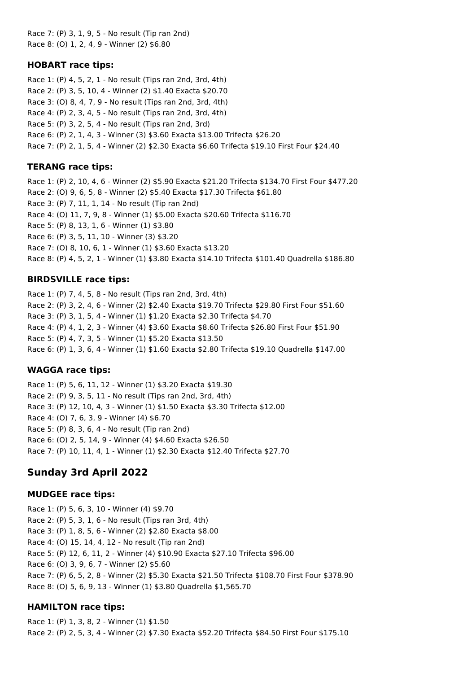Race 7: (P) 3, 1, 9, 5 - No result (Tip ran 2nd) Race 8: (O) 1, 2, 4, 9 - Winner (2) \$6.80

### **HOBART race tips:**

Race 1: (P) 4, 5, 2, 1 - No result (Tips ran 2nd, 3rd, 4th) Race 2: (P) 3, 5, 10, 4 - Winner (2) \$1.40 Exacta \$20.70 Race 3: (O) 8, 4, 7, 9 - No result (Tips ran 2nd, 3rd, 4th) Race 4: (P) 2, 3, 4, 5 - No result (Tips ran 2nd, 3rd, 4th) Race 5: (P) 3, 2, 5, 4 - No result (Tips ran 2nd, 3rd) Race 6: (P) 2, 1, 4, 3 - Winner (3) \$3.60 Exacta \$13.00 Trifecta \$26.20 Race 7: (P) 2, 1, 5, 4 - Winner (2) \$2.30 Exacta \$6.60 Trifecta \$19.10 First Four \$24.40

## **TERANG race tips:**

Race 1: (P) 2, 10, 4, 6 - Winner (2) \$5.90 Exacta \$21.20 Trifecta \$134.70 First Four \$477.20 Race 2: (O) 9, 6, 5, 8 - Winner (2) \$5.40 Exacta \$17.30 Trifecta \$61.80 Race 3: (P) 7, 11, 1, 14 - No result (Tip ran 2nd) Race 4: (O) 11, 7, 9, 8 - Winner (1) \$5.00 Exacta \$20.60 Trifecta \$116.70 Race 5: (P) 8, 13, 1, 6 - Winner (1) \$3.80 Race 6: (P) 3, 5, 11, 10 - Winner (3) \$3.20 Race 7: (O) 8, 10, 6, 1 - Winner (1) \$3.60 Exacta \$13.20 Race 8: (P) 4, 5, 2, 1 - Winner (1) \$3.80 Exacta \$14.10 Trifecta \$101.40 Quadrella \$186.80

### **BIRDSVILLE race tips:**

Race 1: (P) 7, 4, 5, 8 - No result (Tips ran 2nd, 3rd, 4th) Race 2: (P) 3, 2, 4, 6 - Winner (2) \$2.40 Exacta \$19.70 Trifecta \$29.80 First Four \$51.60 Race 3: (P) 3, 1, 5, 4 - Winner (1) \$1.20 Exacta \$2.30 Trifecta \$4.70 Race 4: (P) 4, 1, 2, 3 - Winner (4) \$3.60 Exacta \$8.60 Trifecta \$26.80 First Four \$51.90 Race 5: (P) 4, 7, 3, 5 - Winner (1) \$5.20 Exacta \$13.50 Race 6: (P) 1, 3, 6, 4 - Winner (1) \$1.60 Exacta \$2.80 Trifecta \$19.10 Quadrella \$147.00

## **WAGGA race tips:**

Race 1: (P) 5, 6, 11, 12 - Winner (1) \$3.20 Exacta \$19.30 Race 2: (P) 9, 3, 5, 11 - No result (Tips ran 2nd, 3rd, 4th) Race 3: (P) 12, 10, 4, 3 - Winner (1) \$1.50 Exacta \$3.30 Trifecta \$12.00 Race 4: (O) 7, 6, 3, 9 - Winner (4) \$6.70 Race 5: (P) 8, 3, 6, 4 - No result (Tip ran 2nd) Race 6: (O) 2, 5, 14, 9 - Winner (4) \$4.60 Exacta \$26.50 Race 7: (P) 10, 11, 4, 1 - Winner (1) \$2.30 Exacta \$12.40 Trifecta \$27.70

# **Sunday 3rd April 2022**

#### **MUDGEE race tips:**

Race 1: (P) 5, 6, 3, 10 - Winner (4) \$9.70 Race 2: (P) 5, 3, 1, 6 - No result (Tips ran 3rd, 4th) Race 3: (P) 1, 8, 5, 6 - Winner (2) \$2.80 Exacta \$8.00 Race 4: (O) 15, 14, 4, 12 - No result (Tip ran 2nd) Race 5: (P) 12, 6, 11, 2 - Winner (4) \$10.90 Exacta \$27.10 Trifecta \$96.00 Race 6: (O) 3, 9, 6, 7 - Winner (2) \$5.60 Race 7: (P) 6, 5, 2, 8 - Winner (2) \$5.30 Exacta \$21.50 Trifecta \$108.70 First Four \$378.90 Race 8: (O) 5, 6, 9, 13 - Winner (1) \$3.80 Quadrella \$1,565.70

## **HAMILTON race tips:**

Race 1: (P) 1, 3, 8, 2 - Winner (1) \$1.50 Race 2: (P) 2, 5, 3, 4 - Winner (2) \$7.30 Exacta \$52.20 Trifecta \$84.50 First Four \$175.10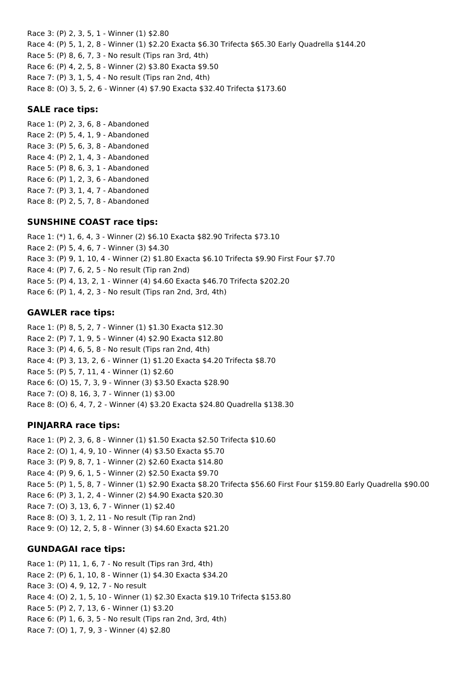Race 3: (P) 2, 3, 5, 1 - Winner (1) \$2.80 Race 4: (P) 5, 1, 2, 8 - Winner (1) \$2.20 Exacta \$6.30 Trifecta \$65.30 Early Quadrella \$144.20 Race 5: (P) 8, 6, 7, 3 - No result (Tips ran 3rd, 4th) Race 6: (P) 4, 2, 5, 8 - Winner (2) \$3.80 Exacta \$9.50 Race 7: (P) 3, 1, 5, 4 - No result (Tips ran 2nd, 4th) Race 8: (O) 3, 5, 2, 6 - Winner (4) \$7.90 Exacta \$32.40 Trifecta \$173.60

### **SALE race tips:**

Race 1: (P) 2, 3, 6, 8 - Abandoned Race 2: (P) 5, 4, 1, 9 - Abandoned Race 3: (P) 5, 6, 3, 8 - Abandoned Race 4: (P) 2, 1, 4, 3 - Abandoned Race 5: (P) 8, 6, 3, 1 - Abandoned Race 6: (P) 1, 2, 3, 6 - Abandoned Race 7: (P) 3, 1, 4, 7 - Abandoned Race 8: (P) 2, 5, 7, 8 - Abandoned

### **SUNSHINE COAST race tips:**

Race 1: (\*) 1, 6, 4, 3 - Winner (2) \$6.10 Exacta \$82.90 Trifecta \$73.10 Race 2: (P) 5, 4, 6, 7 - Winner (3) \$4.30 Race 3: (P) 9, 1, 10, 4 - Winner (2) \$1.80 Exacta \$6.10 Trifecta \$9.90 First Four \$7.70 Race 4: (P) 7, 6, 2, 5 - No result (Tip ran 2nd) Race 5: (P) 4, 13, 2, 1 - Winner (4) \$4.60 Exacta \$46.70 Trifecta \$202.20 Race 6: (P) 1, 4, 2, 3 - No result (Tips ran 2nd, 3rd, 4th)

### **GAWLER race tips:**

Race 1: (P) 8, 5, 2, 7 - Winner (1) \$1.30 Exacta \$12.30 Race 2: (P) 7, 1, 9, 5 - Winner (4) \$2.90 Exacta \$12.80 Race 3: (P) 4, 6, 5, 8 - No result (Tips ran 2nd, 4th) Race 4: (P) 3, 13, 2, 6 - Winner (1) \$1.20 Exacta \$4.20 Trifecta \$8.70 Race 5: (P) 5, 7, 11, 4 - Winner (1) \$2.60 Race 6: (O) 15, 7, 3, 9 - Winner (3) \$3.50 Exacta \$28.90 Race 7: (O) 8, 16, 3, 7 - Winner (1) \$3.00 Race 8: (O) 6, 4, 7, 2 - Winner (4) \$3.20 Exacta \$24.80 Quadrella \$138.30

## **PINJARRA race tips:**

Race 1: (P) 2, 3, 6, 8 - Winner (1) \$1.50 Exacta \$2.50 Trifecta \$10.60 Race 2: (O) 1, 4, 9, 10 - Winner (4) \$3.50 Exacta \$5.70 Race 3: (P) 9, 8, 7, 1 - Winner (2) \$2.60 Exacta \$14.80 Race 4: (P) 9, 6, 1, 5 - Winner (2) \$2.50 Exacta \$9.70 Race 5: (P) 1, 5, 8, 7 - Winner (1) \$2.90 Exacta \$8.20 Trifecta \$56.60 First Four \$159.80 Early Quadrella \$90.00 Race 6: (P) 3, 1, 2, 4 - Winner (2) \$4.90 Exacta \$20.30 Race 7: (O) 3, 13, 6, 7 - Winner (1) \$2.40 Race 8: (O) 3, 1, 2, 11 - No result (Tip ran 2nd) Race 9: (O) 12, 2, 5, 8 - Winner (3) \$4.60 Exacta \$21.20

## **GUNDAGAI race tips:**

Race 1: (P) 11, 1, 6, 7 - No result (Tips ran 3rd, 4th) Race 2: (P) 6, 1, 10, 8 - Winner (1) \$4.30 Exacta \$34.20 Race 3: (O) 4, 9, 12, 7 - No result Race 4: (O) 2, 1, 5, 10 - Winner (1) \$2.30 Exacta \$19.10 Trifecta \$153.80 Race 5: (P) 2, 7, 13, 6 - Winner (1) \$3.20 Race 6: (P) 1, 6, 3, 5 - No result (Tips ran 2nd, 3rd, 4th) Race 7: (O) 1, 7, 9, 3 - Winner (4) \$2.80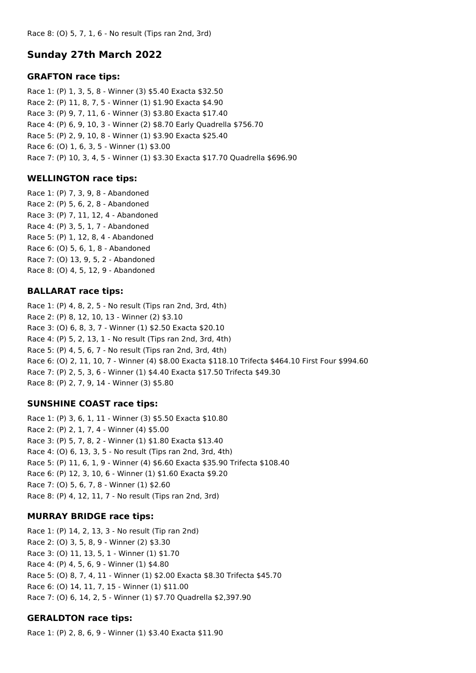## **Sunday 27th March 2022**

#### **GRAFTON race tips:**

Race 1: (P) 1, 3, 5, 8 - Winner (3) \$5.40 Exacta \$32.50 Race 2: (P) 11, 8, 7, 5 - Winner (1) \$1.90 Exacta \$4.90 Race 3: (P) 9, 7, 11, 6 - Winner (3) \$3.80 Exacta \$17.40 Race 4: (P) 6, 9, 10, 3 - Winner (2) \$8.70 Early Quadrella \$756.70 Race 5: (P) 2, 9, 10, 8 - Winner (1) \$3.90 Exacta \$25.40 Race 6: (O) 1, 6, 3, 5 - Winner (1) \$3.00 Race 7: (P) 10, 3, 4, 5 - Winner (1) \$3.30 Exacta \$17.70 Quadrella \$696.90

#### **WELLINGTON race tips:**

Race 1: (P) 7, 3, 9, 8 - Abandoned Race 2: (P) 5, 6, 2, 8 - Abandoned Race 3: (P) 7, 11, 12, 4 - Abandoned Race 4: (P) 3, 5, 1, 7 - Abandoned Race 5: (P) 1, 12, 8, 4 - Abandoned Race 6: (O) 5, 6, 1, 8 - Abandoned Race 7: (O) 13, 9, 5, 2 - Abandoned Race 8: (O) 4, 5, 12, 9 - Abandoned

#### **BALLARAT race tips:**

Race 1: (P) 4, 8, 2, 5 - No result (Tips ran 2nd, 3rd, 4th) Race 2: (P) 8, 12, 10, 13 - Winner (2) \$3.10 Race 3: (O) 6, 8, 3, 7 - Winner (1) \$2.50 Exacta \$20.10 Race 4: (P) 5, 2, 13, 1 - No result (Tips ran 2nd, 3rd, 4th) Race 5: (P) 4, 5, 6, 7 - No result (Tips ran 2nd, 3rd, 4th) Race 6: (O) 2, 11, 10, 7 - Winner (4) \$8.00 Exacta \$118.10 Trifecta \$464.10 First Four \$994.60 Race 7: (P) 2, 5, 3, 6 - Winner (1) \$4.40 Exacta \$17.50 Trifecta \$49.30 Race 8: (P) 2, 7, 9, 14 - Winner (3) \$5.80

#### **SUNSHINE COAST race tips:**

Race 1: (P) 3, 6, 1, 11 - Winner (3) \$5.50 Exacta \$10.80 Race 2: (P) 2, 1, 7, 4 - Winner (4) \$5.00 Race 3: (P) 5, 7, 8, 2 - Winner (1) \$1.80 Exacta \$13.40 Race 4: (O) 6, 13, 3, 5 - No result (Tips ran 2nd, 3rd, 4th) Race 5: (P) 11, 6, 1, 9 - Winner (4) \$6.60 Exacta \$35.90 Trifecta \$108.40 Race 6: (P) 12, 3, 10, 6 - Winner (1) \$1.60 Exacta \$9.20 Race 7: (O) 5, 6, 7, 8 - Winner (1) \$2.60 Race 8: (P) 4, 12, 11, 7 - No result (Tips ran 2nd, 3rd)

#### **MURRAY BRIDGE race tips:**

Race 1: (P) 14, 2, 13, 3 - No result (Tip ran 2nd) Race 2: (O) 3, 5, 8, 9 - Winner (2) \$3.30 Race 3: (O) 11, 13, 5, 1 - Winner (1) \$1.70 Race 4: (P) 4, 5, 6, 9 - Winner (1) \$4.80 Race 5: (O) 8, 7, 4, 11 - Winner (1) \$2.00 Exacta \$8.30 Trifecta \$45.70 Race 6: (O) 14, 11, 7, 15 - Winner (1) \$11.00 Race 7: (O) 6, 14, 2, 5 - Winner (1) \$7.70 Quadrella \$2,397.90

#### **GERALDTON race tips:**

Race 1: (P) 2, 8, 6, 9 - Winner (1) \$3.40 Exacta \$11.90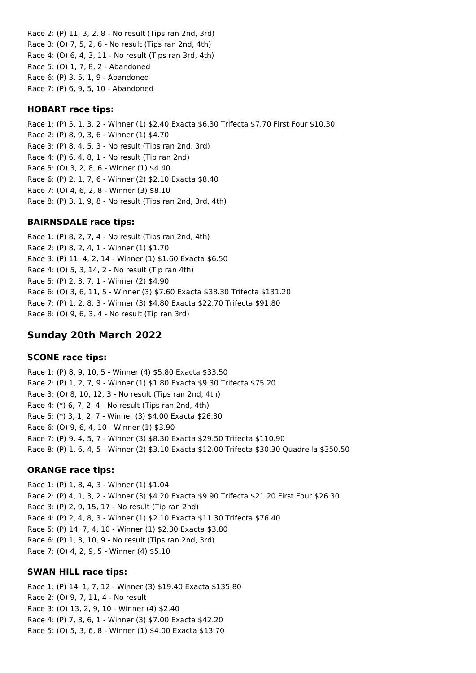Race 2: (P) 11, 3, 2, 8 - No result (Tips ran 2nd, 3rd) Race 3: (O) 7, 5, 2, 6 - No result (Tips ran 2nd, 4th) Race 4: (O) 6, 4, 3, 11 - No result (Tips ran 3rd, 4th) Race 5: (O) 1, 7, 8, 2 - Abandoned Race 6: (P) 3, 5, 1, 9 - Abandoned Race 7: (P) 6, 9, 5, 10 - Abandoned

### **HOBART race tips:**

Race 1: (P) 5, 1, 3, 2 - Winner (1) \$2.40 Exacta \$6.30 Trifecta \$7.70 First Four \$10.30 Race 2: (P) 8, 9, 3, 6 - Winner (1) \$4.70 Race 3: (P) 8, 4, 5, 3 - No result (Tips ran 2nd, 3rd) Race 4: (P) 6, 4, 8, 1 - No result (Tip ran 2nd) Race 5: (O) 3, 2, 8, 6 - Winner (1) \$4.40 Race 6: (P) 2, 1, 7, 6 - Winner (2) \$2.10 Exacta \$8.40 Race 7: (O) 4, 6, 2, 8 - Winner (3) \$8.10 Race 8: (P) 3, 1, 9, 8 - No result (Tips ran 2nd, 3rd, 4th)

## **BAIRNSDALE race tips:**

Race 1: (P) 8, 2, 7, 4 - No result (Tips ran 2nd, 4th) Race 2: (P) 8, 2, 4, 1 - Winner (1) \$1.70 Race 3: (P) 11, 4, 2, 14 - Winner (1) \$1.60 Exacta \$6.50 Race 4: (O) 5, 3, 14, 2 - No result (Tip ran 4th) Race 5: (P) 2, 3, 7, 1 - Winner (2) \$4.90 Race 6: (O) 3, 6, 11, 5 - Winner (3) \$7.60 Exacta \$38.30 Trifecta \$131.20 Race 7: (P) 1, 2, 8, 3 - Winner (3) \$4.80 Exacta \$22.70 Trifecta \$91.80 Race 8: (O) 9, 6, 3, 4 - No result (Tip ran 3rd)

## **Sunday 20th March 2022**

#### **SCONE race tips:**

Race 1: (P) 8, 9, 10, 5 - Winner (4) \$5.80 Exacta \$33.50 Race 2: (P) 1, 2, 7, 9 - Winner (1) \$1.80 Exacta \$9.30 Trifecta \$75.20 Race 3: (O) 8, 10, 12, 3 - No result (Tips ran 2nd, 4th) Race 4: (\*) 6, 7, 2, 4 - No result (Tips ran 2nd, 4th) Race 5: (\*) 3, 1, 2, 7 - Winner (3) \$4.00 Exacta \$26.30 Race 6: (O) 9, 6, 4, 10 - Winner (1) \$3.90 Race 7: (P) 9, 4, 5, 7 - Winner (3) \$8.30 Exacta \$29.50 Trifecta \$110.90 Race 8: (P) 1, 6, 4, 5 - Winner (2) \$3.10 Exacta \$12.00 Trifecta \$30.30 Quadrella \$350.50

#### **ORANGE race tips:**

Race 1: (P) 1, 8, 4, 3 - Winner (1) \$1.04 Race 2: (P) 4, 1, 3, 2 - Winner (3) \$4.20 Exacta \$9.90 Trifecta \$21.20 First Four \$26.30 Race 3: (P) 2, 9, 15, 17 - No result (Tip ran 2nd) Race 4: (P) 2, 4, 8, 3 - Winner (1) \$2.10 Exacta \$11.30 Trifecta \$76.40 Race 5: (P) 14, 7, 4, 10 - Winner (1) \$2.30 Exacta \$3.80 Race 6: (P) 1, 3, 10, 9 - No result (Tips ran 2nd, 3rd) Race 7: (O) 4, 2, 9, 5 - Winner (4) \$5.10

#### **SWAN HILL race tips:**

Race 1: (P) 14, 1, 7, 12 - Winner (3) \$19.40 Exacta \$135.80 Race 2: (O) 9, 7, 11, 4 - No result Race 3: (O) 13, 2, 9, 10 - Winner (4) \$2.40 Race 4: (P) 7, 3, 6, 1 - Winner (3) \$7.00 Exacta \$42.20 Race 5: (O) 5, 3, 6, 8 - Winner (1) \$4.00 Exacta \$13.70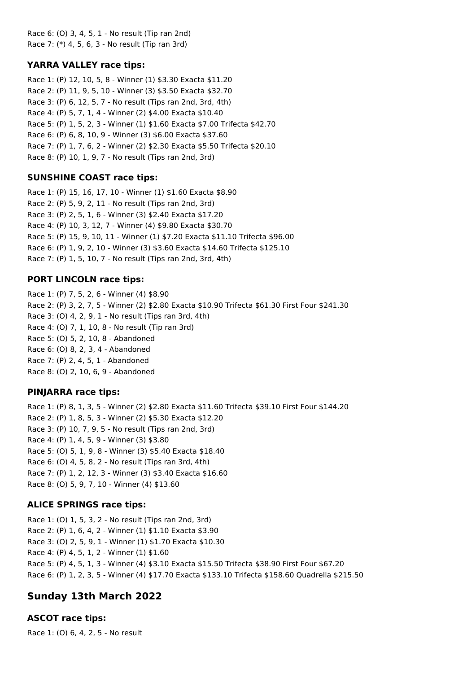Race 6: (O) 3, 4, 5, 1 - No result (Tip ran 2nd) Race 7: (\*) 4, 5, 6, 3 - No result (Tip ran 3rd)

#### **YARRA VALLEY race tips:**

Race 1: (P) 12, 10, 5, 8 - Winner (1) \$3.30 Exacta \$11.20 Race 2: (P) 11, 9, 5, 10 - Winner (3) \$3.50 Exacta \$32.70 Race 3: (P) 6, 12, 5, 7 - No result (Tips ran 2nd, 3rd, 4th) Race 4: (P) 5, 7, 1, 4 - Winner (2) \$4.00 Exacta \$10.40 Race 5: (P) 1, 5, 2, 3 - Winner (1) \$1.60 Exacta \$7.00 Trifecta \$42.70 Race 6: (P) 6, 8, 10, 9 - Winner (3) \$6.00 Exacta \$37.60 Race 7: (P) 1, 7, 6, 2 - Winner (2) \$2.30 Exacta \$5.50 Trifecta \$20.10 Race 8: (P) 10, 1, 9, 7 - No result (Tips ran 2nd, 3rd)

### **SUNSHINE COAST race tips:**

Race 1: (P) 15, 16, 17, 10 - Winner (1) \$1.60 Exacta \$8.90 Race 2: (P) 5, 9, 2, 11 - No result (Tips ran 2nd, 3rd) Race 3: (P) 2, 5, 1, 6 - Winner (3) \$2.40 Exacta \$17.20 Race 4: (P) 10, 3, 12, 7 - Winner (4) \$9.80 Exacta \$30.70 Race 5: (P) 15, 9, 10, 11 - Winner (1) \$7.20 Exacta \$11.10 Trifecta \$96.00 Race 6: (P) 1, 9, 2, 10 - Winner (3) \$3.60 Exacta \$14.60 Trifecta \$125.10 Race 7: (P) 1, 5, 10, 7 - No result (Tips ran 2nd, 3rd, 4th)

#### **PORT LINCOLN race tips:**

Race 1: (P) 7, 5, 2, 6 - Winner (4) \$8.90 Race 2: (P) 3, 2, 7, 5 - Winner (2) \$2.80 Exacta \$10.90 Trifecta \$61.30 First Four \$241.30 Race 3: (O) 4, 2, 9, 1 - No result (Tips ran 3rd, 4th) Race 4: (O) 7, 1, 10, 8 - No result (Tip ran 3rd) Race 5: (O) 5, 2, 10, 8 - Abandoned Race 6: (O) 8, 2, 3, 4 - Abandoned Race 7: (P) 2, 4, 5, 1 - Abandoned Race 8: (O) 2, 10, 6, 9 - Abandoned

#### **PINJARRA race tips:**

Race 1: (P) 8, 1, 3, 5 - Winner (2) \$2.80 Exacta \$11.60 Trifecta \$39.10 First Four \$144.20 Race 2: (P) 1, 8, 5, 3 - Winner (2) \$5.30 Exacta \$12.20 Race 3: (P) 10, 7, 9, 5 - No result (Tips ran 2nd, 3rd) Race 4: (P) 1, 4, 5, 9 - Winner (3) \$3.80 Race 5: (O) 5, 1, 9, 8 - Winner (3) \$5.40 Exacta \$18.40 Race 6: (O) 4, 5, 8, 2 - No result (Tips ran 3rd, 4th) Race 7: (P) 1, 2, 12, 3 - Winner (3) \$3.40 Exacta \$16.60 Race 8: (O) 5, 9, 7, 10 - Winner (4) \$13.60

#### **ALICE SPRINGS race tips:**

Race 1: (O) 1, 5, 3, 2 - No result (Tips ran 2nd, 3rd) Race 2: (P) 1, 6, 4, 2 - Winner (1) \$1.10 Exacta \$3.90 Race 3: (O) 2, 5, 9, 1 - Winner (1) \$1.70 Exacta \$10.30 Race 4: (P) 4, 5, 1, 2 - Winner (1) \$1.60 Race 5: (P) 4, 5, 1, 3 - Winner (4) \$3.10 Exacta \$15.50 Trifecta \$38.90 First Four \$67.20 Race 6: (P) 1, 2, 3, 5 - Winner (4) \$17.70 Exacta \$133.10 Trifecta \$158.60 Quadrella \$215.50

## **Sunday 13th March 2022**

#### **ASCOT race tips:**

Race 1: (O) 6, 4, 2, 5 - No result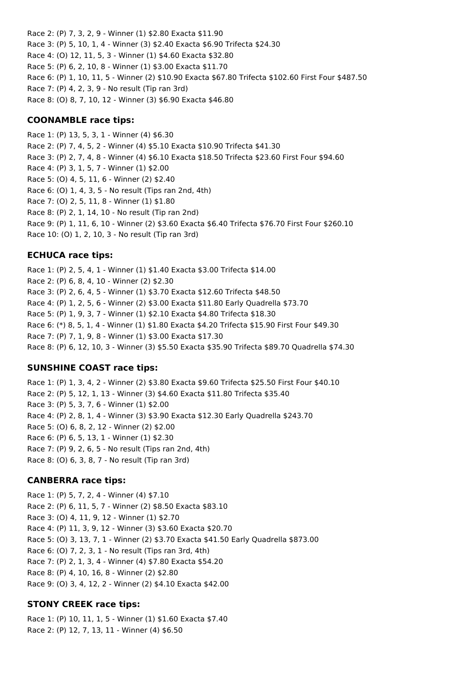Race 2: (P) 7, 3, 2, 9 - Winner (1) \$2.80 Exacta \$11.90 Race 3: (P) 5, 10, 1, 4 - Winner (3) \$2.40 Exacta \$6.90 Trifecta \$24.30 Race 4: (O) 12, 11, 5, 3 - Winner (1) \$4.60 Exacta \$32.80 Race 5: (P) 6, 2, 10, 8 - Winner (1) \$3.00 Exacta \$11.70 Race 6: (P) 1, 10, 11, 5 - Winner (2) \$10.90 Exacta \$67.80 Trifecta \$102.60 First Four \$487.50 Race 7: (P) 4, 2, 3, 9 - No result (Tip ran 3rd) Race 8: (O) 8, 7, 10, 12 - Winner (3) \$6.90 Exacta \$46.80

#### **COONAMBLE race tips:**

Race 1: (P) 13, 5, 3, 1 - Winner (4) \$6.30 Race 2: (P) 7, 4, 5, 2 - Winner (4) \$5.10 Exacta \$10.90 Trifecta \$41.30 Race 3: (P) 2, 7, 4, 8 - Winner (4) \$6.10 Exacta \$18.50 Trifecta \$23.60 First Four \$94.60 Race 4: (P) 3, 1, 5, 7 - Winner (1) \$2.00 Race 5: (O) 4, 5, 11, 6 - Winner (2) \$2.40 Race 6: (O) 1, 4, 3, 5 - No result (Tips ran 2nd, 4th) Race 7: (O) 2, 5, 11, 8 - Winner (1) \$1.80 Race 8: (P) 2, 1, 14, 10 - No result (Tip ran 2nd) Race 9: (P) 1, 11, 6, 10 - Winner (2) \$3.60 Exacta \$6.40 Trifecta \$76.70 First Four \$260.10 Race 10: (O) 1, 2, 10, 3 - No result (Tip ran 3rd)

## **ECHUCA race tips:**

Race 1: (P) 2, 5, 4, 1 - Winner (1) \$1.40 Exacta \$3.00 Trifecta \$14.00 Race 2: (P) 6, 8, 4, 10 - Winner (2) \$2.30 Race 3: (P) 2, 6, 4, 5 - Winner (1) \$3.70 Exacta \$12.60 Trifecta \$48.50 Race 4: (P) 1, 2, 5, 6 - Winner (2) \$3.00 Exacta \$11.80 Early Quadrella \$73.70 Race 5: (P) 1, 9, 3, 7 - Winner (1) \$2.10 Exacta \$4.80 Trifecta \$18.30 Race 6: (\*) 8, 5, 1, 4 - Winner (1) \$1.80 Exacta \$4.20 Trifecta \$15.90 First Four \$49.30 Race 7: (P) 7, 1, 9, 8 - Winner (1) \$3.00 Exacta \$17.30 Race 8: (P) 6, 12, 10, 3 - Winner (3) \$5.50 Exacta \$35.90 Trifecta \$89.70 Quadrella \$74.30

## **SUNSHINE COAST race tips:**

Race 1: (P) 1, 3, 4, 2 - Winner (2) \$3.80 Exacta \$9.60 Trifecta \$25.50 First Four \$40.10 Race 2: (P) 5, 12, 1, 13 - Winner (3) \$4.60 Exacta \$11.80 Trifecta \$35.40 Race 3: (P) 5, 3, 7, 6 - Winner (1) \$2.00 Race 4: (P) 2, 8, 1, 4 - Winner (3) \$3.90 Exacta \$12.30 Early Quadrella \$243.70 Race 5: (O) 6, 8, 2, 12 - Winner (2) \$2.00 Race 6: (P) 6, 5, 13, 1 - Winner (1) \$2.30 Race 7: (P) 9, 2, 6, 5 - No result (Tips ran 2nd, 4th) Race 8: (O) 6, 3, 8, 7 - No result (Tip ran 3rd)

#### **CANBERRA race tips:**

Race 1: (P) 5, 7, 2, 4 - Winner (4) \$7.10 Race 2: (P) 6, 11, 5, 7 - Winner (2) \$8.50 Exacta \$83.10 Race 3: (O) 4, 11, 9, 12 - Winner (1) \$2.70 Race 4: (P) 11, 3, 9, 12 - Winner (3) \$3.60 Exacta \$20.70 Race 5: (O) 3, 13, 7, 1 - Winner (2) \$3.70 Exacta \$41.50 Early Quadrella \$873.00 Race 6: (O) 7, 2, 3, 1 - No result (Tips ran 3rd, 4th) Race 7: (P) 2, 1, 3, 4 - Winner (4) \$7.80 Exacta \$54.20 Race 8: (P) 4, 10, 16, 8 - Winner (2) \$2.80 Race 9: (O) 3, 4, 12, 2 - Winner (2) \$4.10 Exacta \$42.00

## **STONY CREEK race tips:**

Race 1: (P) 10, 11, 1, 5 - Winner (1) \$1.60 Exacta \$7.40 Race 2: (P) 12, 7, 13, 11 - Winner (4) \$6.50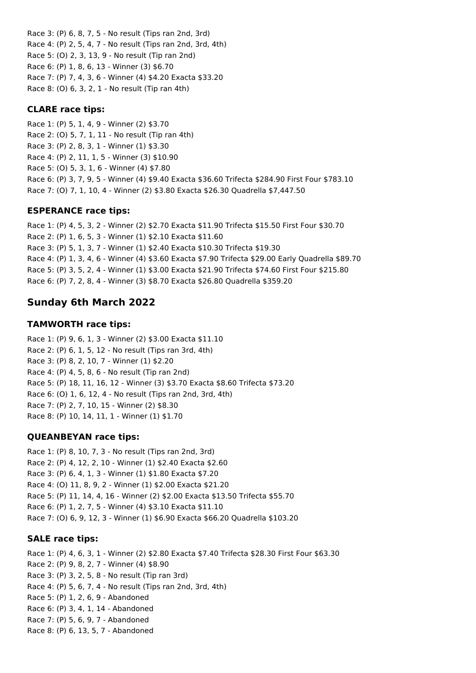Race 3: (P) 6, 8, 7, 5 - No result (Tips ran 2nd, 3rd) Race 4: (P) 2, 5, 4, 7 - No result (Tips ran 2nd, 3rd, 4th) Race 5: (O) 2, 3, 13, 9 - No result (Tip ran 2nd) Race 6: (P) 1, 8, 6, 13 - Winner (3) \$6.70 Race 7: (P) 7, 4, 3, 6 - Winner (4) \$4.20 Exacta \$33.20 Race 8: (O) 6, 3, 2, 1 - No result (Tip ran 4th)

### **CLARE race tips:**

Race 1: (P) 5, 1, 4, 9 - Winner (2) \$3.70 Race 2: (O) 5, 7, 1, 11 - No result (Tip ran 4th) Race 3: (P) 2, 8, 3, 1 - Winner (1) \$3.30 Race 4: (P) 2, 11, 1, 5 - Winner (3) \$10.90 Race 5: (O) 5, 3, 1, 6 - Winner (4) \$7.80 Race 6: (P) 3, 7, 9, 5 - Winner (4) \$9.40 Exacta \$36.60 Trifecta \$284.90 First Four \$783.10 Race 7: (O) 7, 1, 10, 4 - Winner (2) \$3.80 Exacta \$26.30 Quadrella \$7,447.50

### **ESPERANCE race tips:**

Race 1: (P) 4, 5, 3, 2 - Winner (2) \$2.70 Exacta \$11.90 Trifecta \$15.50 First Four \$30.70 Race 2: (P) 1, 6, 5, 3 - Winner (1) \$2.10 Exacta \$11.60 Race 3: (P) 5, 1, 3, 7 - Winner (1) \$2.40 Exacta \$10.30 Trifecta \$19.30 Race 4: (P) 1, 3, 4, 6 - Winner (4) \$3.60 Exacta \$7.90 Trifecta \$29.00 Early Quadrella \$89.70 Race 5: (P) 3, 5, 2, 4 - Winner (1) \$3.00 Exacta \$21.90 Trifecta \$74.60 First Four \$215.80 Race 6: (P) 7, 2, 8, 4 - Winner (3) \$8.70 Exacta \$26.80 Quadrella \$359.20

# **Sunday 6th March 2022**

### **TAMWORTH race tips:**

Race 1: (P) 9, 6, 1, 3 - Winner (2) \$3.00 Exacta \$11.10 Race 2: (P) 6, 1, 5, 12 - No result (Tips ran 3rd, 4th) Race 3: (P) 8, 2, 10, 7 - Winner (1) \$2.20 Race 4: (P) 4, 5, 8, 6 - No result (Tip ran 2nd) Race 5: (P) 18, 11, 16, 12 - Winner (3) \$3.70 Exacta \$8.60 Trifecta \$73.20 Race 6: (O) 1, 6, 12, 4 - No result (Tips ran 2nd, 3rd, 4th) Race 7: (P) 2, 7, 10, 15 - Winner (2) \$8.30 Race 8: (P) 10, 14, 11, 1 - Winner (1) \$1.70

## **QUEANBEYAN race tips:**

Race 1: (P) 8, 10, 7, 3 - No result (Tips ran 2nd, 3rd) Race 2: (P) 4, 12, 2, 10 - Winner (1) \$2.40 Exacta \$2.60 Race 3: (P) 6, 4, 1, 3 - Winner (1) \$1.80 Exacta \$7.20 Race 4: (O) 11, 8, 9, 2 - Winner (1) \$2.00 Exacta \$21.20 Race 5: (P) 11, 14, 4, 16 - Winner (2) \$2.00 Exacta \$13.50 Trifecta \$55.70 Race 6: (P) 1, 2, 7, 5 - Winner (4) \$3.10 Exacta \$11.10 Race 7: (O) 6, 9, 12, 3 - Winner (1) \$6.90 Exacta \$66.20 Quadrella \$103.20

#### **SALE race tips:**

Race 1: (P) 4, 6, 3, 1 - Winner (2) \$2.80 Exacta \$7.40 Trifecta \$28.30 First Four \$63.30 Race 2: (P) 9, 8, 2, 7 - Winner (4) \$8.90 Race 3: (P) 3, 2, 5, 8 - No result (Tip ran 3rd) Race 4: (P) 5, 6, 7, 4 - No result (Tips ran 2nd, 3rd, 4th) Race 5: (P) 1, 2, 6, 9 - Abandoned Race 6: (P) 3, 4, 1, 14 - Abandoned Race 7: (P) 5, 6, 9, 7 - Abandoned Race 8: (P) 6, 13, 5, 7 - Abandoned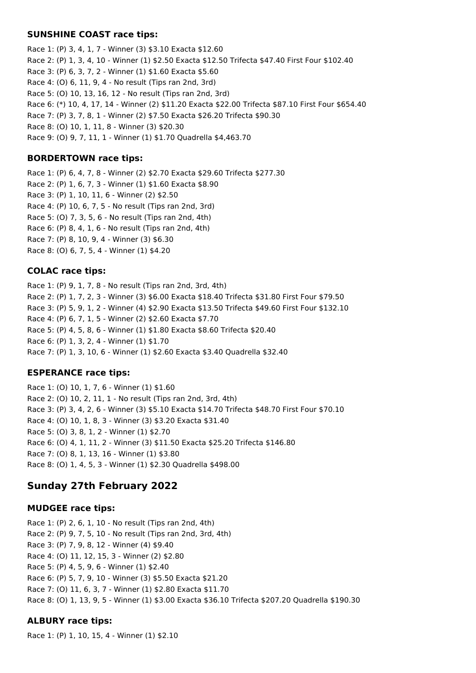#### **SUNSHINE COAST race tips:**

Race 1: (P) 3, 4, 1, 7 - Winner (3) \$3.10 Exacta \$12.60 Race 2: (P) 1, 3, 4, 10 - Winner (1) \$2.50 Exacta \$12.50 Trifecta \$47.40 First Four \$102.40 Race 3: (P) 6, 3, 7, 2 - Winner (1) \$1.60 Exacta \$5.60 Race 4: (O) 6, 11, 9, 4 - No result (Tips ran 2nd, 3rd) Race 5: (O) 10, 13, 16, 12 - No result (Tips ran 2nd, 3rd) Race 6: (\*) 10, 4, 17, 14 - Winner (2) \$11.20 Exacta \$22.00 Trifecta \$87.10 First Four \$654.40 Race 7: (P) 3, 7, 8, 1 - Winner (2) \$7.50 Exacta \$26.20 Trifecta \$90.30 Race 8: (O) 10, 1, 11, 8 - Winner (3) \$20.30 Race 9: (O) 9, 7, 11, 1 - Winner (1) \$1.70 Quadrella \$4,463.70

### **BORDERTOWN race tips:**

Race 1: (P) 6, 4, 7, 8 - Winner (2) \$2.70 Exacta \$29.60 Trifecta \$277.30 Race 2: (P) 1, 6, 7, 3 - Winner (1) \$1.60 Exacta \$8.90 Race 3: (P) 1, 10, 11, 6 - Winner (2) \$2.50 Race 4: (P) 10, 6, 7, 5 - No result (Tips ran 2nd, 3rd) Race 5: (O) 7, 3, 5, 6 - No result (Tips ran 2nd, 4th) Race 6: (P) 8, 4, 1, 6 - No result (Tips ran 2nd, 4th) Race 7: (P) 8, 10, 9, 4 - Winner (3) \$6.30 Race 8: (O) 6, 7, 5, 4 - Winner (1) \$4.20

### **COLAC race tips:**

Race 1: (P) 9, 1, 7, 8 - No result (Tips ran 2nd, 3rd, 4th) Race 2: (P) 1, 7, 2, 3 - Winner (3) \$6.00 Exacta \$18.40 Trifecta \$31.80 First Four \$79.50 Race 3: (P) 5, 9, 1, 2 - Winner (4) \$2.90 Exacta \$13.50 Trifecta \$49.60 First Four \$132.10 Race 4: (P) 6, 7, 1, 5 - Winner (2) \$2.60 Exacta \$7.70 Race 5: (P) 4, 5, 8, 6 - Winner (1) \$1.80 Exacta \$8.60 Trifecta \$20.40 Race 6: (P) 1, 3, 2, 4 - Winner (1) \$1.70 Race 7: (P) 1, 3, 10, 6 - Winner (1) \$2.60 Exacta \$3.40 Quadrella \$32.40

#### **ESPERANCE race tips:**

Race 1: (O) 10, 1, 7, 6 - Winner (1) \$1.60 Race 2: (O) 10, 2, 11, 1 - No result (Tips ran 2nd, 3rd, 4th) Race 3: (P) 3, 4, 2, 6 - Winner (3) \$5.10 Exacta \$14.70 Trifecta \$48.70 First Four \$70.10 Race 4: (O) 10, 1, 8, 3 - Winner (3) \$3.20 Exacta \$31.40 Race 5: (O) 3, 8, 1, 2 - Winner (1) \$2.70 Race 6: (O) 4, 1, 11, 2 - Winner (3) \$11.50 Exacta \$25.20 Trifecta \$146.80 Race 7: (O) 8, 1, 13, 16 - Winner (1) \$3.80 Race 8: (O) 1, 4, 5, 3 - Winner (1) \$2.30 Quadrella \$498.00

# **Sunday 27th February 2022**

#### **MUDGEE race tips:**

Race 1: (P) 2, 6, 1, 10 - No result (Tips ran 2nd, 4th) Race 2: (P) 9, 7, 5, 10 - No result (Tips ran 2nd, 3rd, 4th) Race 3: (P) 7, 9, 8, 12 - Winner (4) \$9.40 Race 4: (O) 11, 12, 15, 3 - Winner (2) \$2.80 Race 5: (P) 4, 5, 9, 6 - Winner (1) \$2.40 Race 6: (P) 5, 7, 9, 10 - Winner (3) \$5.50 Exacta \$21.20 Race 7: (O) 11, 6, 3, 7 - Winner (1) \$2.80 Exacta \$11.70 Race 8: (O) 1, 13, 9, 5 - Winner (1) \$3.00 Exacta \$36.10 Trifecta \$207.20 Quadrella \$190.30

## **ALBURY race tips:**

Race 1: (P) 1, 10, 15, 4 - Winner (1) \$2.10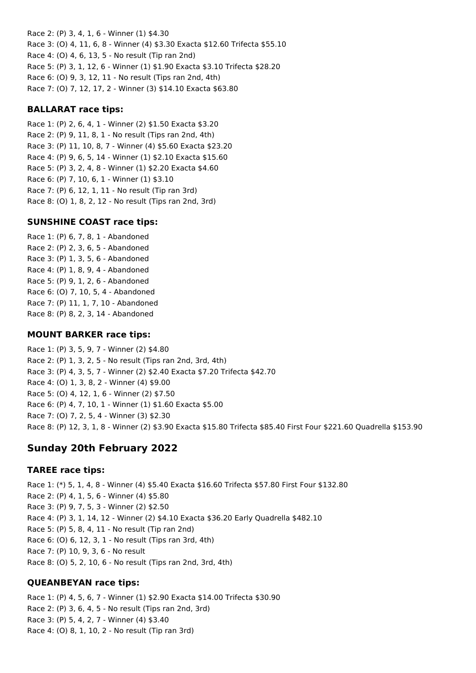Race 2: (P) 3, 4, 1, 6 - Winner (1) \$4.30 Race 3: (O) 4, 11, 6, 8 - Winner (4) \$3.30 Exacta \$12.60 Trifecta \$55.10 Race 4: (O) 4, 6, 13, 5 - No result (Tip ran 2nd) Race 5: (P) 3, 1, 12, 6 - Winner (1) \$1.90 Exacta \$3.10 Trifecta \$28.20 Race 6: (O) 9, 3, 12, 11 - No result (Tips ran 2nd, 4th) Race 7: (O) 7, 12, 17, 2 - Winner (3) \$14.10 Exacta \$63.80

## **BALLARAT race tips:**

Race 1: (P) 2, 6, 4, 1 - Winner (2) \$1.50 Exacta \$3.20 Race 2: (P) 9, 11, 8, 1 - No result (Tips ran 2nd, 4th) Race 3: (P) 11, 10, 8, 7 - Winner (4) \$5.60 Exacta \$23.20 Race 4: (P) 9, 6, 5, 14 - Winner (1) \$2.10 Exacta \$15.60 Race 5: (P) 3, 2, 4, 8 - Winner (1) \$2.20 Exacta \$4.60 Race 6: (P) 7, 10, 6, 1 - Winner (1) \$3.10 Race 7: (P) 6, 12, 1, 11 - No result (Tip ran 3rd) Race 8: (O) 1, 8, 2, 12 - No result (Tips ran 2nd, 3rd)

## **SUNSHINE COAST race tips:**

Race 1: (P) 6, 7, 8, 1 - Abandoned Race 2: (P) 2, 3, 6, 5 - Abandoned Race 3: (P) 1, 3, 5, 6 - Abandoned Race 4: (P) 1, 8, 9, 4 - Abandoned Race 5: (P) 9, 1, 2, 6 - Abandoned Race 6: (O) 7, 10, 5, 4 - Abandoned Race 7: (P) 11, 1, 7, 10 - Abandoned Race 8: (P) 8, 2, 3, 14 - Abandoned

### **MOUNT BARKER race tips:**

Race 1: (P) 3, 5, 9, 7 - Winner (2) \$4.80 Race 2: (P) 1, 3, 2, 5 - No result (Tips ran 2nd, 3rd, 4th) Race 3: (P) 4, 3, 5, 7 - Winner (2) \$2.40 Exacta \$7.20 Trifecta \$42.70 Race 4: (O) 1, 3, 8, 2 - Winner (4) \$9.00 Race 5: (O) 4, 12, 1, 6 - Winner (2) \$7.50 Race 6: (P) 4, 7, 10, 1 - Winner (1) \$1.60 Exacta \$5.00 Race 7: (O) 7, 2, 5, 4 - Winner (3) \$2.30 Race 8: (P) 12, 3, 1, 8 - Winner (2) \$3.90 Exacta \$15.80 Trifecta \$85.40 First Four \$221.60 Quadrella \$153.90

# **Sunday 20th February 2022**

## **TAREE race tips:**

Race 1: (\*) 5, 1, 4, 8 - Winner (4) \$5.40 Exacta \$16.60 Trifecta \$57.80 First Four \$132.80 Race 2: (P) 4, 1, 5, 6 - Winner (4) \$5.80 Race 3: (P) 9, 7, 5, 3 - Winner (2) \$2.50 Race 4: (P) 3, 1, 14, 12 - Winner (2) \$4.10 Exacta \$36.20 Early Quadrella \$482.10 Race 5: (P) 5, 8, 4, 11 - No result (Tip ran 2nd) Race 6: (O) 6, 12, 3, 1 - No result (Tips ran 3rd, 4th) Race 7: (P) 10, 9, 3, 6 - No result Race 8: (O) 5, 2, 10, 6 - No result (Tips ran 2nd, 3rd, 4th)

## **QUEANBEYAN race tips:**

Race 1: (P) 4, 5, 6, 7 - Winner (1) \$2.90 Exacta \$14.00 Trifecta \$30.90 Race 2: (P) 3, 6, 4, 5 - No result (Tips ran 2nd, 3rd) Race 3: (P) 5, 4, 2, 7 - Winner (4) \$3.40 Race 4: (O) 8, 1, 10, 2 - No result (Tip ran 3rd)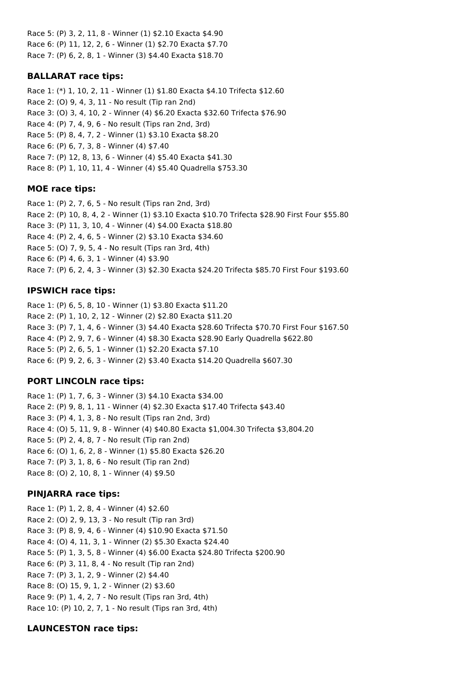Race 5: (P) 3, 2, 11, 8 - Winner (1) \$2.10 Exacta \$4.90 Race 6: (P) 11, 12, 2, 6 - Winner (1) \$2.70 Exacta \$7.70 Race 7: (P) 6, 2, 8, 1 - Winner (3) \$4.40 Exacta \$18.70

## **BALLARAT race tips:**

Race 1: (\*) 1, 10, 2, 11 - Winner (1) \$1.80 Exacta \$4.10 Trifecta \$12.60 Race 2: (O) 9, 4, 3, 11 - No result (Tip ran 2nd) Race 3: (O) 3, 4, 10, 2 - Winner (4) \$6.20 Exacta \$32.60 Trifecta \$76.90 Race 4: (P) 7, 4, 9, 6 - No result (Tips ran 2nd, 3rd) Race 5: (P) 8, 4, 7, 2 - Winner (1) \$3.10 Exacta \$8.20 Race 6: (P) 6, 7, 3, 8 - Winner (4) \$7.40 Race 7: (P) 12, 8, 13, 6 - Winner (4) \$5.40 Exacta \$41.30 Race 8: (P) 1, 10, 11, 4 - Winner (4) \$5.40 Quadrella \$753.30

## **MOE race tips:**

Race 1: (P) 2, 7, 6, 5 - No result (Tips ran 2nd, 3rd) Race 2: (P) 10, 8, 4, 2 - Winner (1) \$3.10 Exacta \$10.70 Trifecta \$28.90 First Four \$55.80 Race 3: (P) 11, 3, 10, 4 - Winner (4) \$4.00 Exacta \$18.80 Race 4: (P) 2, 4, 6, 5 - Winner (2) \$3.10 Exacta \$34.60 Race 5: (O) 7, 9, 5, 4 - No result (Tips ran 3rd, 4th) Race 6: (P) 4, 6, 3, 1 - Winner (4) \$3.90 Race 7: (P) 6, 2, 4, 3 - Winner (3) \$2.30 Exacta \$24.20 Trifecta \$85.70 First Four \$193.60

## **IPSWICH race tips:**

Race 1: (P) 6, 5, 8, 10 - Winner (1) \$3.80 Exacta \$11.20 Race 2: (P) 1, 10, 2, 12 - Winner (2) \$2.80 Exacta \$11.20 Race 3: (P) 7, 1, 4, 6 - Winner (3) \$4.40 Exacta \$28.60 Trifecta \$70.70 First Four \$167.50 Race 4: (P) 2, 9, 7, 6 - Winner (4) \$8.30 Exacta \$28.90 Early Quadrella \$622.80 Race 5: (P) 2, 6, 5, 1 - Winner (1) \$2.20 Exacta \$7.10 Race 6: (P) 9, 2, 6, 3 - Winner (2) \$3.40 Exacta \$14.20 Quadrella \$607.30

## **PORT LINCOLN race tips:**

Race 1: (P) 1, 7, 6, 3 - Winner (3) \$4.10 Exacta \$34.00 Race 2: (P) 9, 8, 1, 11 - Winner (4) \$2.30 Exacta \$17.40 Trifecta \$43.40 Race 3: (P) 4, 1, 3, 8 - No result (Tips ran 2nd, 3rd) Race 4: (O) 5, 11, 9, 8 - Winner (4) \$40.80 Exacta \$1,004.30 Trifecta \$3,804.20 Race 5: (P) 2, 4, 8, 7 - No result (Tip ran 2nd) Race 6: (O) 1, 6, 2, 8 - Winner (1) \$5.80 Exacta \$26.20 Race 7: (P) 3, 1, 8, 6 - No result (Tip ran 2nd) Race 8: (O) 2, 10, 8, 1 - Winner (4) \$9.50

## **PINJARRA race tips:**

Race 1: (P) 1, 2, 8, 4 - Winner (4) \$2.60 Race 2: (O) 2, 9, 13, 3 - No result (Tip ran 3rd) Race 3: (P) 8, 9, 4, 6 - Winner (4) \$10.90 Exacta \$71.50 Race 4: (O) 4, 11, 3, 1 - Winner (2) \$5.30 Exacta \$24.40 Race 5: (P) 1, 3, 5, 8 - Winner (4) \$6.00 Exacta \$24.80 Trifecta \$200.90 Race 6: (P) 3, 11, 8, 4 - No result (Tip ran 2nd) Race 7: (P) 3, 1, 2, 9 - Winner (2) \$4.40 Race 8: (O) 15, 9, 1, 2 - Winner (2) \$3.60 Race 9: (P) 1, 4, 2, 7 - No result (Tips ran 3rd, 4th) Race 10: (P) 10, 2, 7, 1 - No result (Tips ran 3rd, 4th)

## **LAUNCESTON race tips:**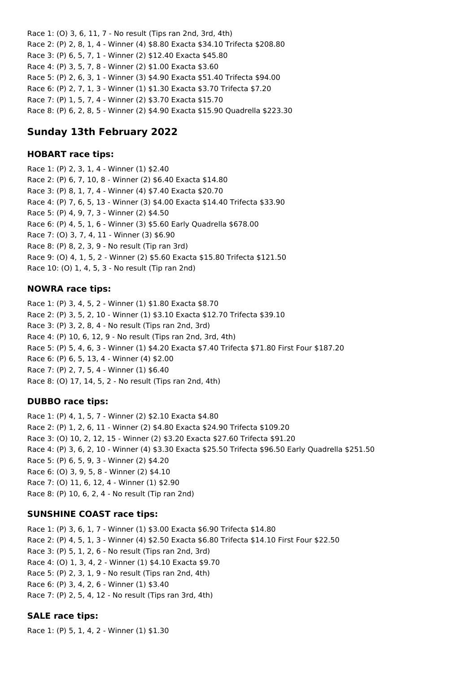Race 1: (O) 3, 6, 11, 7 - No result (Tips ran 2nd, 3rd, 4th) Race 2: (P) 2, 8, 1, 4 - Winner (4) \$8.80 Exacta \$34.10 Trifecta \$208.80 Race 3: (P) 6, 5, 7, 1 - Winner (2) \$12.40 Exacta \$45.80 Race 4: (P) 3, 5, 7, 8 - Winner (2) \$1.00 Exacta \$3.60 Race 5: (P) 2, 6, 3, 1 - Winner (3) \$4.90 Exacta \$51.40 Trifecta \$94.00 Race 6: (P) 2, 7, 1, 3 - Winner (1) \$1.30 Exacta \$3.70 Trifecta \$7.20 Race 7: (P) 1, 5, 7, 4 - Winner (2) \$3.70 Exacta \$15.70 Race 8: (P) 6, 2, 8, 5 - Winner (2) \$4.90 Exacta \$15.90 Quadrella \$223.30

# **Sunday 13th February 2022**

### **HOBART race tips:**

Race 1: (P) 2, 3, 1, 4 - Winner (1) \$2.40 Race 2: (P) 6, 7, 10, 8 - Winner (2) \$6.40 Exacta \$14.80 Race 3: (P) 8, 1, 7, 4 - Winner (4) \$7.40 Exacta \$20.70 Race 4: (P) 7, 6, 5, 13 - Winner (3) \$4.00 Exacta \$14.40 Trifecta \$33.90 Race 5: (P) 4, 9, 7, 3 - Winner (2) \$4.50 Race 6: (P) 4, 5, 1, 6 - Winner (3) \$5.60 Early Quadrella \$678.00 Race 7: (O) 3, 7, 4, 11 - Winner (3) \$6.90 Race 8: (P) 8, 2, 3, 9 - No result (Tip ran 3rd) Race 9: (O) 4, 1, 5, 2 - Winner (2) \$5.60 Exacta \$15.80 Trifecta \$121.50 Race 10: (O) 1, 4, 5, 3 - No result (Tip ran 2nd)

## **NOWRA race tips:**

Race 1: (P) 3, 4, 5, 2 - Winner (1) \$1.80 Exacta \$8.70 Race 2: (P) 3, 5, 2, 10 - Winner (1) \$3.10 Exacta \$12.70 Trifecta \$39.10 Race 3: (P) 3, 2, 8, 4 - No result (Tips ran 2nd, 3rd) Race 4: (P) 10, 6, 12, 9 - No result (Tips ran 2nd, 3rd, 4th) Race 5: (P) 5, 4, 6, 3 - Winner (1) \$4.20 Exacta \$7.40 Trifecta \$71.80 First Four \$187.20 Race 6: (P) 6, 5, 13, 4 - Winner (4) \$2.00 Race 7: (P) 2, 7, 5, 4 - Winner (1) \$6.40 Race 8: (O) 17, 14, 5, 2 - No result (Tips ran 2nd, 4th)

## **DUBBO race tips:**

Race 1: (P) 4, 1, 5, 7 - Winner (2) \$2.10 Exacta \$4.80 Race 2: (P) 1, 2, 6, 11 - Winner (2) \$4.80 Exacta \$24.90 Trifecta \$109.20 Race 3: (O) 10, 2, 12, 15 - Winner (2) \$3.20 Exacta \$27.60 Trifecta \$91.20 Race 4: (P) 3, 6, 2, 10 - Winner (4) \$3.30 Exacta \$25.50 Trifecta \$96.50 Early Quadrella \$251.50 Race 5: (P) 6, 5, 9, 3 - Winner (2) \$4.20 Race 6: (O) 3, 9, 5, 8 - Winner (2) \$4.10 Race 7: (O) 11, 6, 12, 4 - Winner (1) \$2.90 Race 8: (P) 10, 6, 2, 4 - No result (Tip ran 2nd)

## **SUNSHINE COAST race tips:**

Race 1: (P) 3, 6, 1, 7 - Winner (1) \$3.00 Exacta \$6.90 Trifecta \$14.80 Race 2: (P) 4, 5, 1, 3 - Winner (4) \$2.50 Exacta \$6.80 Trifecta \$14.10 First Four \$22.50 Race 3: (P) 5, 1, 2, 6 - No result (Tips ran 2nd, 3rd) Race 4: (O) 1, 3, 4, 2 - Winner (1) \$4.10 Exacta \$9.70 Race 5: (P) 2, 3, 1, 9 - No result (Tips ran 2nd, 4th) Race 6: (P) 3, 4, 2, 6 - Winner (1) \$3.40 Race 7: (P) 2, 5, 4, 12 - No result (Tips ran 3rd, 4th)

## **SALE race tips:**

Race 1: (P) 5, 1, 4, 2 - Winner (1) \$1.30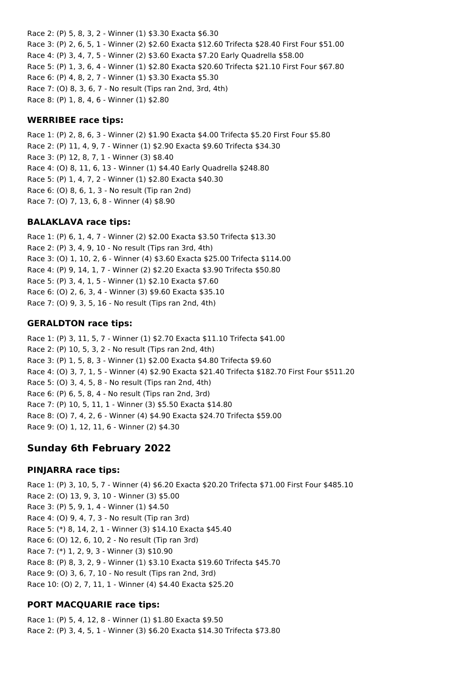Race 2: (P) 5, 8, 3, 2 - Winner (1) \$3.30 Exacta \$6.30 Race 3: (P) 2, 6, 5, 1 - Winner (2) \$2.60 Exacta \$12.60 Trifecta \$28.40 First Four \$51.00 Race 4: (P) 3, 4, 7, 5 - Winner (2) \$3.60 Exacta \$7.20 Early Quadrella \$58.00 Race 5: (P) 1, 3, 6, 4 - Winner (1) \$2.80 Exacta \$20.60 Trifecta \$21.10 First Four \$67.80 Race 6: (P) 4, 8, 2, 7 - Winner (1) \$3.30 Exacta \$5.30 Race 7: (O) 8, 3, 6, 7 - No result (Tips ran 2nd, 3rd, 4th) Race 8: (P) 1, 8, 4, 6 - Winner (1) \$2.80

### **WERRIBEE race tips:**

Race 1: (P) 2, 8, 6, 3 - Winner (2) \$1.90 Exacta \$4.00 Trifecta \$5.20 First Four \$5.80 Race 2: (P) 11, 4, 9, 7 - Winner (1) \$2.90 Exacta \$9.60 Trifecta \$34.30 Race 3: (P) 12, 8, 7, 1 - Winner (3) \$8.40 Race 4: (O) 8, 11, 6, 13 - Winner (1) \$4.40 Early Quadrella \$248.80 Race 5: (P) 1, 4, 7, 2 - Winner (1) \$2.80 Exacta \$40.30 Race 6: (O) 8, 6, 1, 3 - No result (Tip ran 2nd) Race 7: (O) 7, 13, 6, 8 - Winner (4) \$8.90

### **BALAKLAVA race tips:**

Race 1: (P) 6, 1, 4, 7 - Winner (2) \$2.00 Exacta \$3.50 Trifecta \$13.30 Race 2: (P) 3, 4, 9, 10 - No result (Tips ran 3rd, 4th) Race 3: (O) 1, 10, 2, 6 - Winner (4) \$3.60 Exacta \$25.00 Trifecta \$114.00 Race 4: (P) 9, 14, 1, 7 - Winner (2) \$2.20 Exacta \$3.90 Trifecta \$50.80 Race 5: (P) 3, 4, 1, 5 - Winner (1) \$2.10 Exacta \$7.60 Race 6: (O) 2, 6, 3, 4 - Winner (3) \$9.60 Exacta \$35.10 Race 7: (O) 9, 3, 5, 16 - No result (Tips ran 2nd, 4th)

### **GERALDTON race tips:**

Race 1: (P) 3, 11, 5, 7 - Winner (1) \$2.70 Exacta \$11.10 Trifecta \$41.00 Race 2: (P) 10, 5, 3, 2 - No result (Tips ran 2nd, 4th) Race 3: (P) 1, 5, 8, 3 - Winner (1) \$2.00 Exacta \$4.80 Trifecta \$9.60 Race 4: (O) 3, 7, 1, 5 - Winner (4) \$2.90 Exacta \$21.40 Trifecta \$182.70 First Four \$511.20 Race 5: (O) 3, 4, 5, 8 - No result (Tips ran 2nd, 4th) Race 6: (P) 6, 5, 8, 4 - No result (Tips ran 2nd, 3rd) Race 7: (P) 10, 5, 11, 1 - Winner (3) \$5.50 Exacta \$14.80 Race 8: (O) 7, 4, 2, 6 - Winner (4) \$4.90 Exacta \$24.70 Trifecta \$59.00 Race 9: (O) 1, 12, 11, 6 - Winner (2) \$4.30

## **Sunday 6th February 2022**

#### **PINJARRA race tips:**

Race 1: (P) 3, 10, 5, 7 - Winner (4) \$6.20 Exacta \$20.20 Trifecta \$71.00 First Four \$485.10 Race 2: (O) 13, 9, 3, 10 - Winner (3) \$5.00 Race 3: (P) 5, 9, 1, 4 - Winner (1) \$4.50 Race 4: (O) 9, 4, 7, 3 - No result (Tip ran 3rd) Race 5: (\*) 8, 14, 2, 1 - Winner (3) \$14.10 Exacta \$45.40 Race 6: (O) 12, 6, 10, 2 - No result (Tip ran 3rd) Race 7: (\*) 1, 2, 9, 3 - Winner (3) \$10.90 Race 8: (P) 8, 3, 2, 9 - Winner (1) \$3.10 Exacta \$19.60 Trifecta \$45.70 Race 9: (O) 3, 6, 7, 10 - No result (Tips ran 2nd, 3rd) Race 10: (O) 2, 7, 11, 1 - Winner (4) \$4.40 Exacta \$25.20

## **PORT MACQUARIE race tips:**

Race 1: (P) 5, 4, 12, 8 - Winner (1) \$1.80 Exacta \$9.50 Race 2: (P) 3, 4, 5, 1 - Winner (3) \$6.20 Exacta \$14.30 Trifecta \$73.80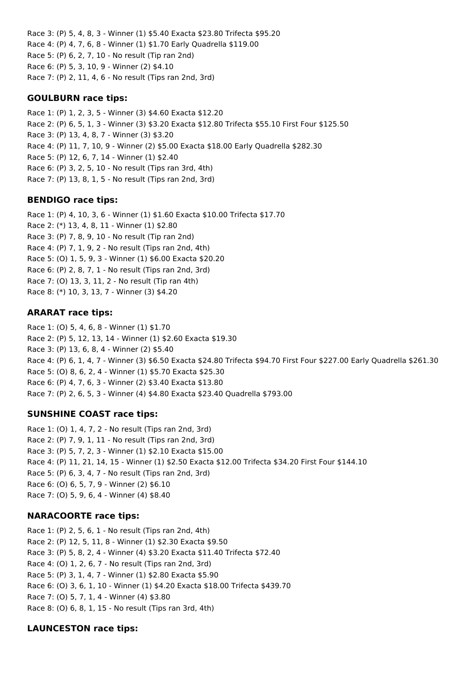Race 3: (P) 5, 4, 8, 3 - Winner (1) \$5.40 Exacta \$23.80 Trifecta \$95.20 Race 4: (P) 4, 7, 6, 8 - Winner (1) \$1.70 Early Quadrella \$119.00 Race 5: (P) 6, 2, 7, 10 - No result (Tip ran 2nd) Race 6: (P) 5, 3, 10, 9 - Winner (2) \$4.10 Race 7: (P) 2, 11, 4, 6 - No result (Tips ran 2nd, 3rd)

### **GOULBURN race tips:**

Race 1: (P) 1, 2, 3, 5 - Winner (3) \$4.60 Exacta \$12.20 Race 2: (P) 6, 5, 1, 3 - Winner (3) \$3.20 Exacta \$12.80 Trifecta \$55.10 First Four \$125.50 Race 3: (P) 13, 4, 8, 7 - Winner (3) \$3.20 Race 4: (P) 11, 7, 10, 9 - Winner (2) \$5.00 Exacta \$18.00 Early Quadrella \$282.30 Race 5: (P) 12, 6, 7, 14 - Winner (1) \$2.40 Race 6: (P) 3, 2, 5, 10 - No result (Tips ran 3rd, 4th) Race 7: (P) 13, 8, 1, 5 - No result (Tips ran 2nd, 3rd)

### **BENDIGO race tips:**

Race 1: (P) 4, 10, 3, 6 - Winner (1) \$1.60 Exacta \$10.00 Trifecta \$17.70 Race 2: (\*) 13, 4, 8, 11 - Winner (1) \$2.80 Race 3: (P) 7, 8, 9, 10 - No result (Tip ran 2nd) Race 4: (P) 7, 1, 9, 2 - No result (Tips ran 2nd, 4th) Race 5: (O) 1, 5, 9, 3 - Winner (1) \$6.00 Exacta \$20.20 Race 6: (P) 2, 8, 7, 1 - No result (Tips ran 2nd, 3rd) Race 7: (O) 13, 3, 11, 2 - No result (Tip ran 4th) Race 8: (\*) 10, 3, 13, 7 - Winner (3) \$4.20

## **ARARAT race tips:**

Race 1: (O) 5, 4, 6, 8 - Winner (1) \$1.70 Race 2: (P) 5, 12, 13, 14 - Winner (1) \$2.60 Exacta \$19.30 Race 3: (P) 13, 6, 8, 4 - Winner (2) \$5.40 Race 4: (P) 6, 1, 4, 7 - Winner (3) \$6.50 Exacta \$24.80 Trifecta \$94.70 First Four \$227.00 Early Quadrella \$261.30 Race 5: (O) 8, 6, 2, 4 - Winner (1) \$5.70 Exacta \$25.30 Race 6: (P) 4, 7, 6, 3 - Winner (2) \$3.40 Exacta \$13.80 Race 7: (P) 2, 6, 5, 3 - Winner (4) \$4.80 Exacta \$23.40 Quadrella \$793.00

## **SUNSHINE COAST race tips:**

Race 1: (O) 1, 4, 7, 2 - No result (Tips ran 2nd, 3rd) Race 2: (P) 7, 9, 1, 11 - No result (Tips ran 2nd, 3rd) Race 3: (P) 5, 7, 2, 3 - Winner (1) \$2.10 Exacta \$15.00 Race 4: (P) 11, 21, 14, 15 - Winner (1) \$2.50 Exacta \$12.00 Trifecta \$34.20 First Four \$144.10 Race 5: (P) 6, 3, 4, 7 - No result (Tips ran 2nd, 3rd) Race 6: (O) 6, 5, 7, 9 - Winner (2) \$6.10 Race 7: (O) 5, 9, 6, 4 - Winner (4) \$8.40

#### **NARACOORTE race tips:**

Race 1: (P) 2, 5, 6, 1 - No result (Tips ran 2nd, 4th) Race 2: (P) 12, 5, 11, 8 - Winner (1) \$2.30 Exacta \$9.50 Race 3: (P) 5, 8, 2, 4 - Winner (4) \$3.20 Exacta \$11.40 Trifecta \$72.40 Race 4: (O) 1, 2, 6, 7 - No result (Tips ran 2nd, 3rd) Race 5: (P) 3, 1, 4, 7 - Winner (1) \$2.80 Exacta \$5.90 Race 6: (O) 3, 6, 1, 10 - Winner (1) \$4.20 Exacta \$18.00 Trifecta \$439.70 Race 7: (O) 5, 7, 1, 4 - Winner (4) \$3.80 Race 8: (O) 6, 8, 1, 15 - No result (Tips ran 3rd, 4th)

## **LAUNCESTON race tips:**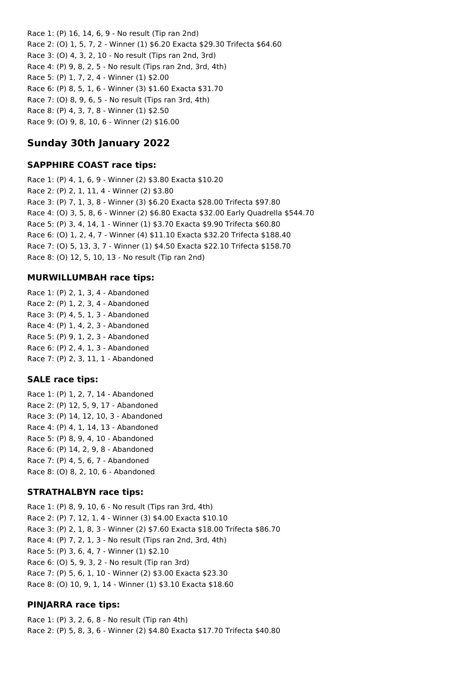Race 1: (P) 16, 14, 6, 9 - No result (Tip ran 2nd) Race 2: (O) 1, 5, 7, 2 - Winner (1) \$6.20 Exacta \$29.30 Trifecta \$64.60 Race 3: (O) 4, 3, 2, 10 - No result (Tips ran 2nd, 3rd) Race 4: (P) 9, 8, 2, 5 - No result (Tips ran 2nd, 3rd, 4th) Race 5: (P) 1, 7, 2, 4 - Winner (1) \$2.00 Race 6: (P) 8, 5, 1, 6 - Winner (3) \$1.60 Exacta \$31.70 Race 7: (O) 8, 9, 6, 5 - No result (Tips ran 3rd, 4th) Race 8: (P) 4, 3, 7, 8 - Winner (1) \$2.50 Race 9: (O) 9, 8, 10, 6 - Winner (2) \$16.00

# **Sunday 30th January 2022**

### **SAPPHIRE COAST race tips:**

Race 1: (P) 4, 1, 6, 9 - Winner (2) \$3.80 Exacta \$10.20 Race 2: (P) 2, 1, 11, 4 - Winner (2) \$3.80 Race 3: (P) 7, 1, 3, 8 - Winner (3) \$6.20 Exacta \$28.00 Trifecta \$97.80 Race 4: (O) 3, 5, 8, 6 - Winner (2) \$6.80 Exacta \$32.00 Early Quadrella \$544.70 Race 5: (P) 3, 4, 14, 1 - Winner (1) \$3.70 Exacta \$9.90 Trifecta \$60.80 Race 6: (O) 1, 2, 4, 7 - Winner (4) \$11.10 Exacta \$32.20 Trifecta \$188.40 Race 7: (O) 5, 13, 3, 7 - Winner (1) \$4.50 Exacta \$22.10 Trifecta \$158.70 Race 8: (O) 12, 5, 10, 13 - No result (Tip ran 2nd)

#### **MURWILLUMBAH race tips:**

Race 1: (P) 2, 1, 3, 4 - Abandoned Race 2: (P) 1, 2, 3, 4 - Abandoned Race 3: (P) 4, 5, 1, 3 - Abandoned Race 4: (P) 1, 4, 2, 3 - Abandoned Race 5: (P) 9, 1, 2, 3 - Abandoned Race 6: (P) 2, 4, 1, 3 - Abandoned Race 7: (P) 2, 3, 11, 1 - Abandoned

#### **SALE race tips:**

Race 1: (P) 1, 2, 7, 14 - Abandoned Race 2: (P) 12, 5, 9, 17 - Abandoned Race 3: (P) 14, 12, 10, 3 - Abandoned Race 4: (P) 4, 1, 14, 13 - Abandoned Race 5: (P) 8, 9, 4, 10 - Abandoned Race 6: (P) 14, 2, 9, 8 - Abandoned Race 7: (P) 4, 5, 6, 7 - Abandoned Race 8: (O) 8, 2, 10, 6 - Abandoned

#### **STRATHALBYN race tips:**

Race 1: (P) 8, 9, 10, 6 - No result (Tips ran 3rd, 4th) Race 2: (P) 7, 12, 1, 4 - Winner (3) \$4.00 Exacta \$10.10 Race 3: (P) 2, 1, 8, 3 - Winner (2) \$7.60 Exacta \$18.00 Trifecta \$86.70 Race 4: (P) 7, 2, 1, 3 - No result (Tips ran 2nd, 3rd, 4th) Race 5: (P) 3, 6, 4, 7 - Winner (1) \$2.10 Race 6: (O) 5, 9, 3, 2 - No result (Tip ran 3rd) Race 7: (P) 5, 6, 1, 10 - Winner (2) \$3.00 Exacta \$23.30 Race 8: (O) 10, 9, 1, 14 - Winner (1) \$3.10 Exacta \$18.60

## **PINJARRA race tips:**

Race 1: (P) 3, 2, 6, 8 - No result (Tip ran 4th) Race 2: (P) 5, 8, 3, 6 - Winner (2) \$4.80 Exacta \$17.70 Trifecta \$40.80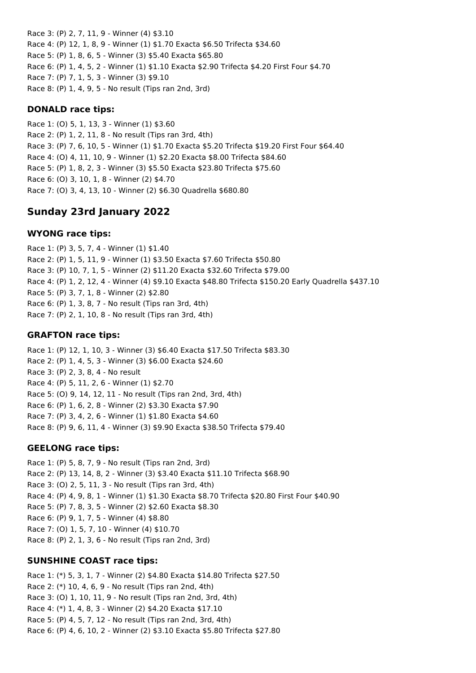Race 3: (P) 2, 7, 11, 9 - Winner (4) \$3.10 Race 4: (P) 12, 1, 8, 9 - Winner (1) \$1.70 Exacta \$6.50 Trifecta \$34.60 Race 5: (P) 1, 8, 6, 5 - Winner (3) \$5.40 Exacta \$65.80 Race 6: (P) 1, 4, 5, 2 - Winner (1) \$1.10 Exacta \$2.90 Trifecta \$4.20 First Four \$4.70 Race 7: (P) 7, 1, 5, 3 - Winner (3) \$9.10 Race 8: (P) 1, 4, 9, 5 - No result (Tips ran 2nd, 3rd)

### **DONALD race tips:**

Race 1: (O) 5, 1, 13, 3 - Winner (1) \$3.60 Race 2: (P) 1, 2, 11, 8 - No result (Tips ran 3rd, 4th) Race 3: (P) 7, 6, 10, 5 - Winner (1) \$1.70 Exacta \$5.20 Trifecta \$19.20 First Four \$64.40 Race 4: (O) 4, 11, 10, 9 - Winner (1) \$2.20 Exacta \$8.00 Trifecta \$84.60 Race 5: (P) 1, 8, 2, 3 - Winner (3) \$5.50 Exacta \$23.80 Trifecta \$75.60 Race 6: (O) 3, 10, 1, 8 - Winner (2) \$4.70 Race 7: (O) 3, 4, 13, 10 - Winner (2) \$6.30 Quadrella \$680.80

# **Sunday 23rd January 2022**

### **WYONG race tips:**

Race 1: (P) 3, 5, 7, 4 - Winner (1) \$1.40 Race 2: (P) 1, 5, 11, 9 - Winner (1) \$3.50 Exacta \$7.60 Trifecta \$50.80 Race 3: (P) 10, 7, 1, 5 - Winner (2) \$11.20 Exacta \$32.60 Trifecta \$79.00 Race 4: (P) 1, 2, 12, 4 - Winner (4) \$9.10 Exacta \$48.80 Trifecta \$150.20 Early Quadrella \$437.10 Race 5: (P) 3, 7, 1, 8 - Winner (2) \$2.80 Race 6: (P) 1, 3, 8, 7 - No result (Tips ran 3rd, 4th) Race 7: (P) 2, 1, 10, 8 - No result (Tips ran 3rd, 4th)

### **GRAFTON race tips:**

Race 1: (P) 12, 1, 10, 3 - Winner (3) \$6.40 Exacta \$17.50 Trifecta \$83.30 Race 2: (P) 1, 4, 5, 3 - Winner (3) \$6.00 Exacta \$24.60 Race 3: (P) 2, 3, 8, 4 - No result Race 4: (P) 5, 11, 2, 6 - Winner (1) \$2.70 Race 5: (O) 9, 14, 12, 11 - No result (Tips ran 2nd, 3rd, 4th) Race 6: (P) 1, 6, 2, 8 - Winner (2) \$3.30 Exacta \$7.90 Race 7: (P) 3, 4, 2, 6 - Winner (1) \$1.80 Exacta \$4.60 Race 8: (P) 9, 6, 11, 4 - Winner (3) \$9.90 Exacta \$38.50 Trifecta \$79.40

## **GEELONG race tips:**

Race 1: (P) 5, 8, 7, 9 - No result (Tips ran 2nd, 3rd) Race 2: (P) 13, 14, 8, 2 - Winner (3) \$3.40 Exacta \$11.10 Trifecta \$68.90 Race 3: (O) 2, 5, 11, 3 - No result (Tips ran 3rd, 4th) Race 4: (P) 4, 9, 8, 1 - Winner (1) \$1.30 Exacta \$8.70 Trifecta \$20.80 First Four \$40.90 Race 5: (P) 7, 8, 3, 5 - Winner (2) \$2.60 Exacta \$8.30 Race 6: (P) 9, 1, 7, 5 - Winner (4) \$8.80 Race 7: (O) 1, 5, 7, 10 - Winner (4) \$10.70 Race 8: (P) 2, 1, 3, 6 - No result (Tips ran 2nd, 3rd)

## **SUNSHINE COAST race tips:**

Race 1: (\*) 5, 3, 1, 7 - Winner (2) \$4.80 Exacta \$14.80 Trifecta \$27.50 Race 2: (\*) 10, 4, 6, 9 - No result (Tips ran 2nd, 4th) Race 3: (O) 1, 10, 11, 9 - No result (Tips ran 2nd, 3rd, 4th) Race 4: (\*) 1, 4, 8, 3 - Winner (2) \$4.20 Exacta \$17.10 Race 5: (P) 4, 5, 7, 12 - No result (Tips ran 2nd, 3rd, 4th) Race 6: (P) 4, 6, 10, 2 - Winner (2) \$3.10 Exacta \$5.80 Trifecta \$27.80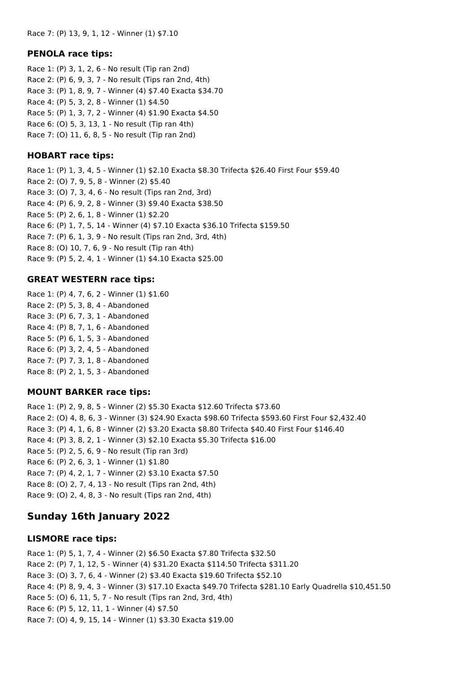#### **PENOLA race tips:**

Race 1: (P) 3, 1, 2, 6 - No result (Tip ran 2nd) Race 2: (P) 6, 9, 3, 7 - No result (Tips ran 2nd, 4th) Race 3: (P) 1, 8, 9, 7 - Winner (4) \$7.40 Exacta \$34.70 Race 4: (P) 5, 3, 2, 8 - Winner (1) \$4.50 Race 5: (P) 1, 3, 7, 2 - Winner (4) \$1.90 Exacta \$4.50 Race 6: (O) 5, 3, 13, 1 - No result (Tip ran 4th) Race 7: (O) 11, 6, 8, 5 - No result (Tip ran 2nd)

#### **HOBART race tips:**

Race 1: (P) 1, 3, 4, 5 - Winner (1) \$2.10 Exacta \$8.30 Trifecta \$26.40 First Four \$59.40 Race 2: (O) 7, 9, 5, 8 - Winner (2) \$5.40 Race 3: (O) 7, 3, 4, 6 - No result (Tips ran 2nd, 3rd) Race 4: (P) 6, 9, 2, 8 - Winner (3) \$9.40 Exacta \$38.50 Race 5: (P) 2, 6, 1, 8 - Winner (1) \$2.20 Race 6: (P) 1, 7, 5, 14 - Winner (4) \$7.10 Exacta \$36.10 Trifecta \$159.50 Race 7: (P) 6, 1, 3, 9 - No result (Tips ran 2nd, 3rd, 4th) Race 8: (O) 10, 7, 6, 9 - No result (Tip ran 4th) Race 9: (P) 5, 2, 4, 1 - Winner (1) \$4.10 Exacta \$25.00

### **GREAT WESTERN race tips:**

Race 1: (P) 4, 7, 6, 2 - Winner (1) \$1.60 Race 2: (P) 5, 3, 8, 4 - Abandoned Race 3: (P) 6, 7, 3, 1 - Abandoned Race 4: (P) 8, 7, 1, 6 - Abandoned Race 5: (P) 6, 1, 5, 3 - Abandoned Race 6: (P) 3, 2, 4, 5 - Abandoned Race 7: (P) 7, 3, 1, 8 - Abandoned Race 8: (P) 2, 1, 5, 3 - Abandoned

#### **MOUNT BARKER race tips:**

Race 1: (P) 2, 9, 8, 5 - Winner (2) \$5.30 Exacta \$12.60 Trifecta \$73.60 Race 2: (O) 4, 8, 6, 3 - Winner (3) \$24.90 Exacta \$98.60 Trifecta \$593.60 First Four \$2,432.40 Race 3: (P) 4, 1, 6, 8 - Winner (2) \$3.20 Exacta \$8.80 Trifecta \$40.40 First Four \$146.40 Race 4: (P) 3, 8, 2, 1 - Winner (3) \$2.10 Exacta \$5.30 Trifecta \$16.00 Race 5: (P) 2, 5, 6, 9 - No result (Tip ran 3rd) Race 6: (P) 2, 6, 3, 1 - Winner (1) \$1.80 Race 7: (P) 4, 2, 1, 7 - Winner (2) \$3.10 Exacta \$7.50 Race 8: (O) 2, 7, 4, 13 - No result (Tips ran 2nd, 4th) Race 9: (O) 2, 4, 8, 3 - No result (Tips ran 2nd, 4th)

# **Sunday 16th January 2022**

#### **LISMORE race tips:**

Race 1: (P) 5, 1, 7, 4 - Winner (2) \$6.50 Exacta \$7.80 Trifecta \$32.50 Race 2: (P) 7, 1, 12, 5 - Winner (4) \$31.20 Exacta \$114.50 Trifecta \$311.20 Race 3: (O) 3, 7, 6, 4 - Winner (2) \$3.40 Exacta \$19.60 Trifecta \$52.10 Race 4: (P) 8, 9, 4, 3 - Winner (3) \$17.10 Exacta \$49.70 Trifecta \$281.10 Early Quadrella \$10,451.50 Race 5: (O) 6, 11, 5, 7 - No result (Tips ran 2nd, 3rd, 4th) Race 6: (P) 5, 12, 11, 1 - Winner (4) \$7.50 Race 7: (O) 4, 9, 15, 14 - Winner (1) \$3.30 Exacta \$19.00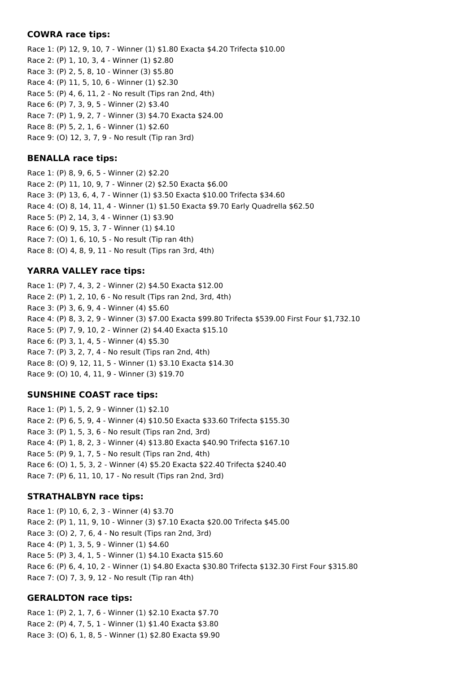### **COWRA race tips:**

Race 1: (P) 12, 9, 10, 7 - Winner (1) \$1.80 Exacta \$4.20 Trifecta \$10.00 Race 2: (P) 1, 10, 3, 4 - Winner (1) \$2.80 Race 3: (P) 2, 5, 8, 10 - Winner (3) \$5.80 Race 4: (P) 11, 5, 10, 6 - Winner (1) \$2.30 Race 5: (P) 4, 6, 11, 2 - No result (Tips ran 2nd, 4th) Race 6: (P) 7, 3, 9, 5 - Winner (2) \$3.40 Race 7: (P) 1, 9, 2, 7 - Winner (3) \$4.70 Exacta \$24.00 Race 8: (P) 5, 2, 1, 6 - Winner (1) \$2.60 Race 9: (O) 12, 3, 7, 9 - No result (Tip ran 3rd)

## **BENALLA race tips:**

Race 1: (P) 8, 9, 6, 5 - Winner (2) \$2.20 Race 2: (P) 11, 10, 9, 7 - Winner (2) \$2.50 Exacta \$6.00 Race 3: (P) 13, 6, 4, 7 - Winner (1) \$3.50 Exacta \$10.00 Trifecta \$34.60 Race 4: (O) 8, 14, 11, 4 - Winner (1) \$1.50 Exacta \$9.70 Early Quadrella \$62.50 Race 5: (P) 2, 14, 3, 4 - Winner (1) \$3.90 Race 6: (O) 9, 15, 3, 7 - Winner (1) \$4.10 Race 7: (O) 1, 6, 10, 5 - No result (Tip ran 4th) Race 8: (O) 4, 8, 9, 11 - No result (Tips ran 3rd, 4th)

## **YARRA VALLEY race tips:**

Race 1: (P) 7, 4, 3, 2 - Winner (2) \$4.50 Exacta \$12.00 Race 2: (P) 1, 2, 10, 6 - No result (Tips ran 2nd, 3rd, 4th) Race 3: (P) 3, 6, 9, 4 - Winner (4) \$5.60 Race 4: (P) 8, 3, 2, 9 - Winner (3) \$7.00 Exacta \$99.80 Trifecta \$539.00 First Four \$1,732.10 Race 5: (P) 7, 9, 10, 2 - Winner (2) \$4.40 Exacta \$15.10 Race 6: (P) 3, 1, 4, 5 - Winner (4) \$5.30 Race 7: (P) 3, 2, 7, 4 - No result (Tips ran 2nd, 4th) Race 8: (O) 9, 12, 11, 5 - Winner (1) \$3.10 Exacta \$14.30 Race 9: (O) 10, 4, 11, 9 - Winner (3) \$19.70

## **SUNSHINE COAST race tips:**

Race 1: (P) 1, 5, 2, 9 - Winner (1) \$2.10 Race 2: (P) 6, 5, 9, 4 - Winner (4) \$10.50 Exacta \$33.60 Trifecta \$155.30 Race 3: (P) 1, 5, 3, 6 - No result (Tips ran 2nd, 3rd) Race 4: (P) 1, 8, 2, 3 - Winner (4) \$13.80 Exacta \$40.90 Trifecta \$167.10 Race 5: (P) 9, 1, 7, 5 - No result (Tips ran 2nd, 4th) Race 6: (O) 1, 5, 3, 2 - Winner (4) \$5.20 Exacta \$22.40 Trifecta \$240.40 Race 7: (P) 6, 11, 10, 17 - No result (Tips ran 2nd, 3rd)

## **STRATHALBYN race tips:**

Race 1: (P) 10, 6, 2, 3 - Winner (4) \$3.70 Race 2: (P) 1, 11, 9, 10 - Winner (3) \$7.10 Exacta \$20.00 Trifecta \$45.00 Race 3: (O) 2, 7, 6, 4 - No result (Tips ran 2nd, 3rd) Race 4: (P) 1, 3, 5, 9 - Winner (1) \$4.60 Race 5: (P) 3, 4, 1, 5 - Winner (1) \$4.10 Exacta \$15.60 Race 6: (P) 6, 4, 10, 2 - Winner (1) \$4.80 Exacta \$30.80 Trifecta \$132.30 First Four \$315.80 Race 7: (O) 7, 3, 9, 12 - No result (Tip ran 4th)

## **GERALDTON race tips:**

Race 1: (P) 2, 1, 7, 6 - Winner (1) \$2.10 Exacta \$7.70 Race 2: (P) 4, 7, 5, 1 - Winner (1) \$1.40 Exacta \$3.80 Race 3: (O) 6, 1, 8, 5 - Winner (1) \$2.80 Exacta \$9.90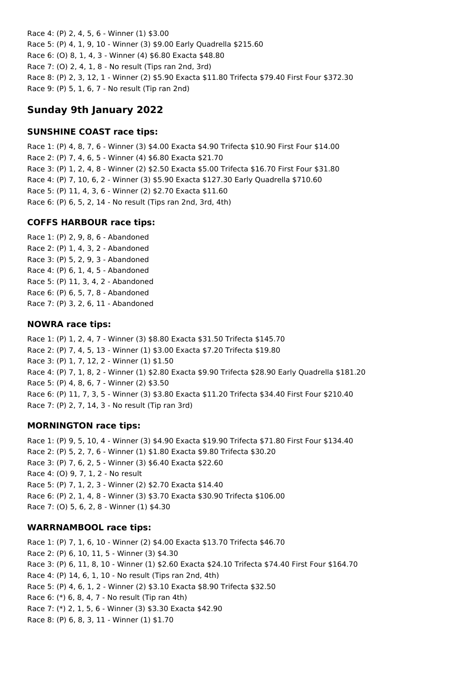Race 4: (P) 2, 4, 5, 6 - Winner (1) \$3.00 Race 5: (P) 4, 1, 9, 10 - Winner (3) \$9.00 Early Quadrella \$215.60 Race 6: (O) 8, 1, 4, 3 - Winner (4) \$6.80 Exacta \$48.80 Race 7: (O) 2, 4, 1, 8 - No result (Tips ran 2nd, 3rd) Race 8: (P) 2, 3, 12, 1 - Winner (2) \$5.90 Exacta \$11.80 Trifecta \$79.40 First Four \$372.30 Race 9: (P) 5, 1, 6, 7 - No result (Tip ran 2nd)

# **Sunday 9th January 2022**

## **SUNSHINE COAST race tips:**

Race 1: (P) 4, 8, 7, 6 - Winner (3) \$4.00 Exacta \$4.90 Trifecta \$10.90 First Four \$14.00 Race 2: (P) 7, 4, 6, 5 - Winner (4) \$6.80 Exacta \$21.70 Race 3: (P) 1, 2, 4, 8 - Winner (2) \$2.50 Exacta \$5.00 Trifecta \$16.70 First Four \$31.80 Race 4: (P) 7, 10, 6, 2 - Winner (3) \$5.90 Exacta \$127.30 Early Quadrella \$710.60 Race 5: (P) 11, 4, 3, 6 - Winner (2) \$2.70 Exacta \$11.60 Race 6: (P) 6, 5, 2, 14 - No result (Tips ran 2nd, 3rd, 4th)

## **COFFS HARBOUR race tips:**

Race 1: (P) 2, 9, 8, 6 - Abandoned Race 2: (P) 1, 4, 3, 2 - Abandoned Race 3: (P) 5, 2, 9, 3 - Abandoned Race 4: (P) 6, 1, 4, 5 - Abandoned Race 5: (P) 11, 3, 4, 2 - Abandoned Race 6: (P) 6, 5, 7, 8 - Abandoned Race 7: (P) 3, 2, 6, 11 - Abandoned

## **NOWRA race tips:**

Race 1: (P) 1, 2, 4, 7 - Winner (3) \$8.80 Exacta \$31.50 Trifecta \$145.70 Race 2: (P) 7, 4, 5, 13 - Winner (1) \$3.00 Exacta \$7.20 Trifecta \$19.80 Race 3: (P) 1, 7, 12, 2 - Winner (1) \$1.50 Race 4: (P) 7, 1, 8, 2 - Winner (1) \$2.80 Exacta \$9.90 Trifecta \$28.90 Early Quadrella \$181.20 Race 5: (P) 4, 8, 6, 7 - Winner (2) \$3.50 Race 6: (P) 11, 7, 3, 5 - Winner (3) \$3.80 Exacta \$11.20 Trifecta \$34.40 First Four \$210.40 Race 7: (P) 2, 7, 14, 3 - No result (Tip ran 3rd)

## **MORNINGTON race tips:**

Race 1: (P) 9, 5, 10, 4 - Winner (3) \$4.90 Exacta \$19.90 Trifecta \$71.80 First Four \$134.40 Race 2: (P) 5, 2, 7, 6 - Winner (1) \$1.80 Exacta \$9.80 Trifecta \$30.20 Race 3: (P) 7, 6, 2, 5 - Winner (3) \$6.40 Exacta \$22.60 Race 4: (O) 9, 7, 1, 2 - No result Race 5: (P) 7, 1, 2, 3 - Winner (2) \$2.70 Exacta \$14.40 Race 6: (P) 2, 1, 4, 8 - Winner (3) \$3.70 Exacta \$30.90 Trifecta \$106.00 Race 7: (O) 5, 6, 2, 8 - Winner (1) \$4.30

## **WARRNAMBOOL race tips:**

Race 1: (P) 7, 1, 6, 10 - Winner (2) \$4.00 Exacta \$13.70 Trifecta \$46.70 Race 2: (P) 6, 10, 11, 5 - Winner (3) \$4.30 Race 3: (P) 6, 11, 8, 10 - Winner (1) \$2.60 Exacta \$24.10 Trifecta \$74.40 First Four \$164.70 Race 4: (P) 14, 6, 1, 10 - No result (Tips ran 2nd, 4th) Race 5: (P) 4, 6, 1, 2 - Winner (2) \$3.10 Exacta \$8.90 Trifecta \$32.50 Race 6: (\*) 6, 8, 4, 7 - No result (Tip ran 4th) Race 7: (\*) 2, 1, 5, 6 - Winner (3) \$3.30 Exacta \$42.90 Race 8: (P) 6, 8, 3, 11 - Winner (1) \$1.70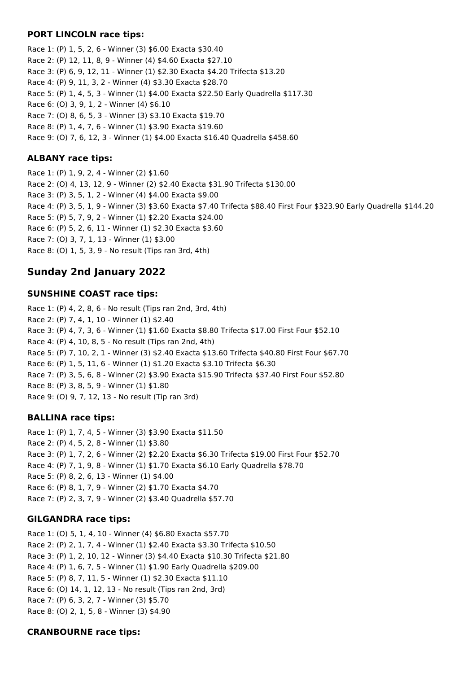## **PORT LINCOLN race tips:**

Race 1: (P) 1, 5, 2, 6 - Winner (3) \$6.00 Exacta \$30.40 Race 2: (P) 12, 11, 8, 9 - Winner (4) \$4.60 Exacta \$27.10 Race 3: (P) 6, 9, 12, 11 - Winner (1) \$2.30 Exacta \$4.20 Trifecta \$13.20 Race 4: (P) 9, 11, 3, 2 - Winner (4) \$3.30 Exacta \$28.70 Race 5: (P) 1, 4, 5, 3 - Winner (1) \$4.00 Exacta \$22.50 Early Quadrella \$117.30 Race 6: (O) 3, 9, 1, 2 - Winner (4) \$6.10 Race 7: (O) 8, 6, 5, 3 - Winner (3) \$3.10 Exacta \$19.70 Race 8: (P) 1, 4, 7, 6 - Winner (1) \$3.90 Exacta \$19.60 Race 9: (O) 7, 6, 12, 3 - Winner (1) \$4.00 Exacta \$16.40 Quadrella \$458.60

## **ALBANY race tips:**

Race 1: (P) 1, 9, 2, 4 - Winner (2) \$1.60 Race 2: (O) 4, 13, 12, 9 - Winner (2) \$2.40 Exacta \$31.90 Trifecta \$130.00 Race 3: (P) 3, 5, 1, 2 - Winner (4) \$4.00 Exacta \$9.00 Race 4: (P) 3, 5, 1, 9 - Winner (3) \$3.60 Exacta \$7.40 Trifecta \$88.40 First Four \$323.90 Early Quadrella \$144.20 Race 5: (P) 5, 7, 9, 2 - Winner (1) \$2.20 Exacta \$24.00 Race 6: (P) 5, 2, 6, 11 - Winner (1) \$2.30 Exacta \$3.60 Race 7: (O) 3, 7, 1, 13 - Winner (1) \$3.00 Race 8: (O) 1, 5, 3, 9 - No result (Tips ran 3rd, 4th)

# **Sunday 2nd January 2022**

### **SUNSHINE COAST race tips:**

Race 1: (P) 4, 2, 8, 6 - No result (Tips ran 2nd, 3rd, 4th) Race 2: (P) 7, 4, 1, 10 - Winner (1) \$2.40 Race 3: (P) 4, 7, 3, 6 - Winner (1) \$1.60 Exacta \$8.80 Trifecta \$17.00 First Four \$52.10 Race 4: (P) 4, 10, 8, 5 - No result (Tips ran 2nd, 4th) Race 5: (P) 7, 10, 2, 1 - Winner (3) \$2.40 Exacta \$13.60 Trifecta \$40.80 First Four \$67.70 Race 6: (P) 1, 5, 11, 6 - Winner (1) \$1.20 Exacta \$3.10 Trifecta \$6.30 Race 7: (P) 3, 5, 6, 8 - Winner (2) \$3.90 Exacta \$15.90 Trifecta \$37.40 First Four \$52.80 Race 8: (P) 3, 8, 5, 9 - Winner (1) \$1.80 Race 9: (O) 9, 7, 12, 13 - No result (Tip ran 3rd)

## **BALLINA race tips:**

Race 1: (P) 1, 7, 4, 5 - Winner (3) \$3.90 Exacta \$11.50 Race 2: (P) 4, 5, 2, 8 - Winner (1) \$3.80 Race 3: (P) 1, 7, 2, 6 - Winner (2) \$2.20 Exacta \$6.30 Trifecta \$19.00 First Four \$52.70 Race 4: (P) 7, 1, 9, 8 - Winner (1) \$1.70 Exacta \$6.10 Early Quadrella \$78.70 Race 5: (P) 8, 2, 6, 13 - Winner (1) \$4.00 Race 6: (P) 8, 1, 7, 9 - Winner (2) \$1.70 Exacta \$4.70 Race 7: (P) 2, 3, 7, 9 - Winner (2) \$3.40 Quadrella \$57.70

## **GILGANDRA race tips:**

Race 1: (O) 5, 1, 4, 10 - Winner (4) \$6.80 Exacta \$57.70 Race 2: (P) 2, 1, 7, 4 - Winner (1) \$2.40 Exacta \$3.30 Trifecta \$10.50 Race 3: (P) 1, 2, 10, 12 - Winner (3) \$4.40 Exacta \$10.30 Trifecta \$21.80 Race 4: (P) 1, 6, 7, 5 - Winner (1) \$1.90 Early Quadrella \$209.00 Race 5: (P) 8, 7, 11, 5 - Winner (1) \$2.30 Exacta \$11.10 Race 6: (O) 14, 1, 12, 13 - No result (Tips ran 2nd, 3rd) Race 7: (P) 6, 3, 2, 7 - Winner (3) \$5.70 Race 8: (O) 2, 1, 5, 8 - Winner (3) \$4.90

## **CRANBOURNE race tips:**